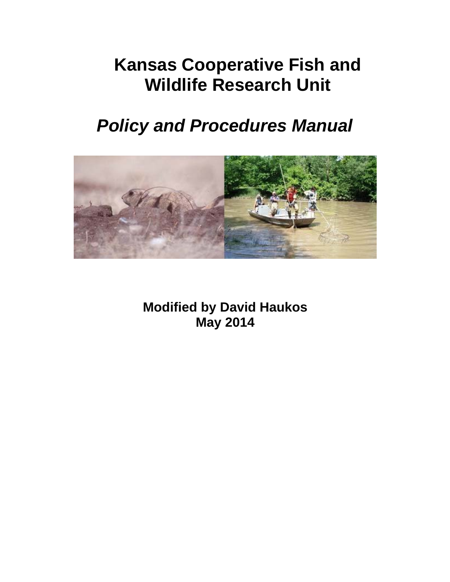# **Kansas Cooperative Fish and Wildlife Research Unit**

# *Policy and Procedures Manual*



**Modified by David Haukos May 2014**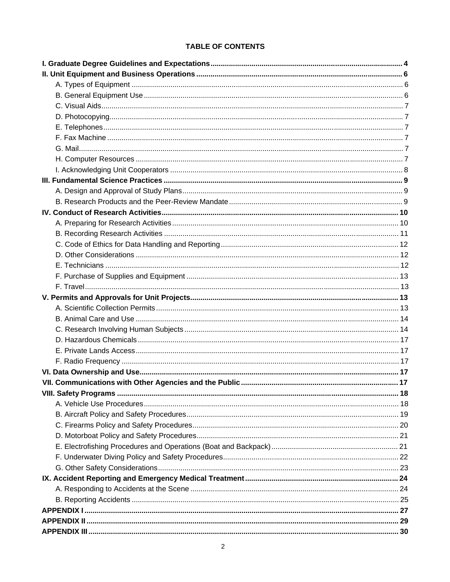# **TABLE OF CONTENTS**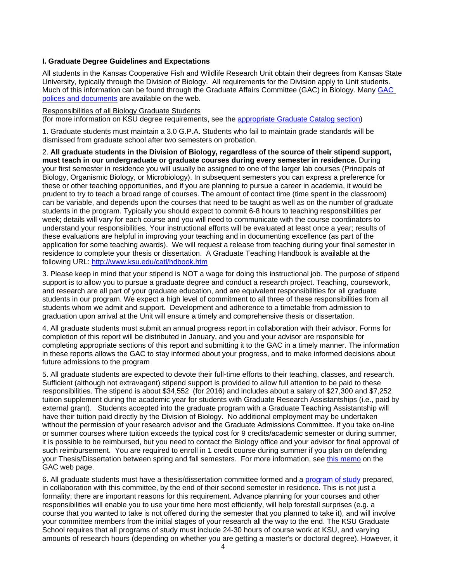# **I. Graduate Degree Guidelines and Expectations**

All students in the Kansas Cooperative Fish and Wildlife Research Unit obtain their degrees from Kansas State University, typically through the Division of Biology. All requirements for the Division apply to Unit students. Much of this information can be found through the Graduate Affairs Committee (GAC) in Biology. Many GAC polices and documents are available on the web.

Responsibilities of all Biology Graduate Students

(for more information on KSU degree requirements, see the appropriate Graduate Catalog section)

1. Graduate students must maintain a 3.0 G.P.A. Students who fail to maintain grade standards will be dismissed from graduate school after two semesters on probation.

2. **All graduate students in the Division of Biology, regardless of the source of their stipend support, must teach in our undergraduate or graduate courses during every semester in residence.** During your first semester in residence you will usually be assigned to one of the larger lab courses (Principals of Biology, Organismic Biology, or Microbiology). In subsequent semesters you can express a preference for these or other teaching opportunities, and if you are planning to pursue a career in academia, it would be prudent to try to teach a broad range of courses. The amount of contact time (time spent in the classroom) can be variable, and depends upon the courses that need to be taught as well as on the number of graduate students in the program. Typically you should expect to commit 6-8 hours to teaching responsibilities per week; details will vary for each course and you will need to communicate with the course coordinators to understand your responsibilities. Your instructional efforts will be evaluated at least once a year; results of these evaluations are helpful in improving your teaching and in documenting excellence (as part of the application for some teaching awards). We will request a release from teaching during your final semester in residence to complete your thesis or dissertation. A Graduate Teaching Handbook is available at the following URL:<http://www.ksu.edu/catl/hdbook.htm>

3. Please keep in mind that your stipend is NOT a wage for doing this instructional job. The purpose of stipend support is to allow you to pursue a graduate degree and conduct a research project. Teaching, coursework, and research are all part of your graduate education, and are equivalent responsibilities for all graduate students in our program. We expect a high level of commitment to all three of these responsibilities from all students whom we admit and support. Development and adherence to a timetable from admission to graduation upon arrival at the Unit will ensure a timely and comprehensive thesis or dissertation.

4. All graduate students must submit an annual progress report in collaboration with their advisor. Forms for completion of this report will be distributed in January, and you and your advisor are responsible for completing appropriate sections of this report and submitting it to the GAC in a timely manner. The information in these reports allows the GAC to stay informed about your progress, and to make informed decisions about future admissions to the program

5. All graduate students are expected to devote their full-time efforts to their teaching, classes, and research. Sufficient (although not extravagant) stipend support is provided to allow full attention to be paid to these responsibilities. The stipend is about \$34,552 (for 2016) and includes about a salary of \$27,300 and \$7,252 tuition supplement during the academic year for students with Graduate Research Assistantships (i.e., paid by external grant). Students accepted into the graduate program with a Graduate Teaching Assistantship will have their tuition paid directly by the Division of Biology. No additional employment may be undertaken without the permission of your research advisor and the Graduate Admissions Committee. If you take on-line or summer courses where tuition exceeds the typical cost for 9 credits/academic semester or during summer, it is possible to be reimbursed, but you need to contact the Biology office and your advisor for final approval of such reimbursement. You are required to enroll in 1 credit course during summer if you plan on defending your Thesis/Dissertation between spring and fall semesters. For more information, see this memo on the GAC web page.

6. All graduate students must have a thesis/dissertation committee formed and a program of study prepared, in collaboration with this committee, by the end of their second semester in residence. This is not just a formality; there are important reasons for this requirement. Advance planning for your courses and other responsibilities will enable you to use your time here most efficiently, will help forestall surprises (e.g. a course that you wanted to take is not offered during the semester that you planned to take it), and will involve your committee members from the initial stages of your research all the way to the end. The KSU Graduate School requires that all programs of study must include 24-30 hours of course work at KSU, and varying amounts of research hours (depending on whether you are getting a master's or doctoral degree). However, it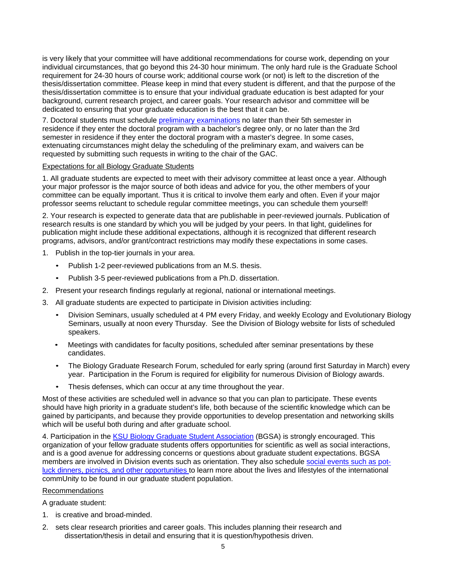is very likely that your committee will have additional recommendations for course work, depending on your individual circumstances, that go beyond this 24-30 hour minimum. The only hard rule is the Graduate School requirement for 24-30 hours of course work; additional course work (or not) is left to the discretion of the thesis/dissertation committee. Please keep in mind that every student is different, and that the purpose of the thesis/dissertation committee is to ensure that your individual graduate education is best adapted for your background, current research project, and career goals. Your research advisor and committee will be dedicated to ensuring that your graduate education is the best that it can be.

7. Doctoral students must schedule preliminary examinations no later than their 5th semester in residence if they enter the doctoral program with a bachelor's degree only, or no later than the 3rd semester in residence if they enter the doctoral program with a master's degree. In some cases, extenuating circumstances might delay the scheduling of the preliminary exam, and waivers can be requested by submitting such requests in writing to the chair of the GAC.

# Expectations for all Biology Graduate Students

1. All graduate students are expected to meet with their advisory committee at least once a year. Although your major professor is the major source of both ideas and advice for you, the other members of your committee can be equally important. Thus it is critical to involve them early and often. Even if your major professor seems reluctant to schedule regular committee meetings, you can schedule them yourself!

2. Your research is expected to generate data that are publishable in peer-reviewed journals. Publication of research results is one standard by which you will be judged by your peers. In that light, guidelines for publication might include these additional expectations, although it is recognized that different research programs, advisors, and/or grant/contract restrictions may modify these expectations in some cases.

- 1. Publish in the top-tier journals in your area.
	- Publish 1-2 peer-reviewed publications from an M.S. thesis.
	- Publish 3-5 peer-reviewed publications from a Ph.D. dissertation.
- 2. Present your research findings regularly at regional, national or international meetings.
- 3. All graduate students are expected to participate in Division activities including:
	- Division Seminars, usually scheduled at 4 PM every Friday, and weekly Ecology and Evolutionary Biology Seminars, usually at noon every Thursday. See the Division of Biology website for lists of scheduled speakers.
	- Meetings with candidates for faculty positions, scheduled after seminar presentations by these candidates.
	- The Biology Graduate Research Forum, scheduled for early spring (around first Saturday in March) every year. Participation in the Forum is required for eligibility for numerous Division of Biology awards.
	- Thesis defenses, which can occur at any time throughout the year.

Most of these activities are scheduled well in advance so that you can plan to participate. These events should have high priority in a graduate student's life, both because of the scientific knowledge which can be gained by participants, and because they provide opportunities to develop presentation and networking skills which will be useful both during and after graduate school.

4. Participation in the KSU Biology Graduate Student Association (BGSA) is strongly encouraged. This organization of your fellow graduate students offers opportunities for scientific as well as social interactions, and is a good avenue for addressing concerns or questions about graduate student expectations. BGSA members are involved in Division events such as orientation. They also schedule social events such as potluck dinners, picnics, and other opportunities to learn more about the lives and lifestyles of the international commUnity to be found in our graduate student population.

# Recommendations

A graduate student:

- 1. is creative and broad-minded.
- 2. sets clear research priorities and career goals. This includes planning their research and dissertation/thesis in detail and ensuring that it is question/hypothesis driven.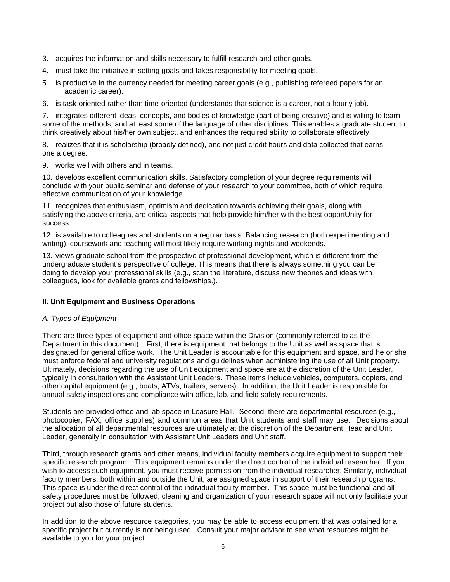- 3. acquires the information and skills necessary to fulfill research and other goals.
- 4. must take the initiative in setting goals and takes responsibility for meeting goals.
- 5. is productive in the currency needed for meeting career goals (e.g., publishing refereed papers for an academic career).
- 6. is task-oriented rather than time-oriented (understands that science is a career, not a hourly job).

7. integrates different ideas, concepts, and bodies of knowledge (part of being creative) and is willing to learn some of the methods, and at least some of the language of other disciplines. This enables a graduate student to think creatively about his/her own subject, and enhances the required ability to collaborate effectively.

8. realizes that it is scholarship (broadly defined), and not just credit hours and data collected that earns one a degree.

9. works well with others and in teams.

10. develops excellent communication skills. Satisfactory completion of your degree requirements will conclude with your public seminar and defense of your research to your committee, both of which require effective communication of your knowledge.

11. recognizes that enthusiasm, optimism and dedication towards achieving their goals, along with satisfying the above criteria, are critical aspects that help provide him/her with the best opportUnity for success.

12. is available to colleagues and students on a regular basis. Balancing research (both experimenting and writing), coursework and teaching will most likely require working nights and weekends.

13. views graduate school from the prospective of professional development, which is different from the undergraduate student's perspective of college. This means that there is always something you can be doing to develop your professional skills (e.g., scan the literature, discuss new theories and ideas with colleagues, look for available grants and fellowships.).

# **II. Unit Equipment and Business Operations**

# *A. Types of Equipment*

There are three types of equipment and office space within the Division (commonly referred to as the Department in this document). First, there is equipment that belongs to the Unit as well as space that is designated for general office work. The Unit Leader is accountable for this equipment and space, and he or she must enforce federal and university regulations and guidelines when administering the use of all Unit property. Ultimately, decisions regarding the use of Unit equipment and space are at the discretion of the Unit Leader, typically in consultation with the Assistant Unit Leaders. These items include vehicles, computers, copiers, and other capital equipment (e.g., boats, ATVs, trailers, servers). In addition, the Unit Leader is responsible for annual safety inspections and compliance with office, lab, and field safety requirements.

Students are provided office and lab space in Leasure Hall. Second, there are departmental resources (e.g., photocopier, FAX, office supplies) and common areas that Unit students and staff may use. Decisions about the allocation of all departmental resources are ultimately at the discretion of the Department Head and Unit Leader, generally in consultation with Assistant Unit Leaders and Unit staff.

Third, through research grants and other means, individual faculty members acquire equipment to support their specific research program. This equipment remains under the direct control of the individual researcher. If you wish to access such equipment, you must receive permission from the individual researcher. Similarly, individual faculty members, both within and outside the Unit, are assigned space in support of their research programs. This space is under the direct control of the individual faculty member. This space must be functional and all safety procedures must be followed; cleaning and organization of your research space will not only facilitate your project but also those of future students.

In addition to the above resource categories, you may be able to access equipment that was obtained for a specific project but currently is not being used. Consult your major advisor to see what resources might be available to you for your project.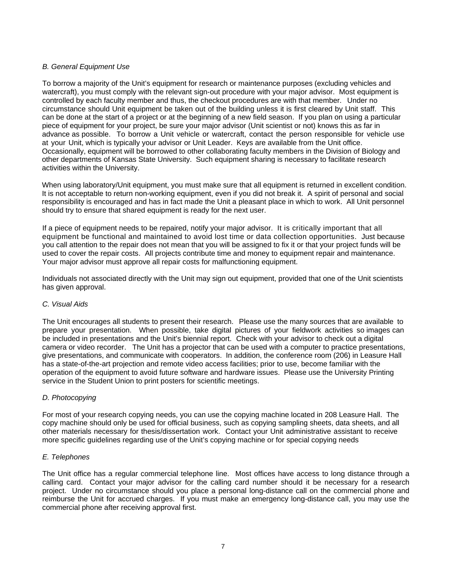# *B. General Equipment Use*

To borrow a majority of the Unit's equipment for research or maintenance purposes (excluding vehicles and watercraft), you must comply with the relevant sign-out procedure with your major advisor. Most equipment is controlled by each faculty member and thus, the checkout procedures are with that member. Under no circumstance should Unit equipment be taken out of the building unless it is first cleared by Unit staff. This can be done at the start of a project or at the beginning of a new field season. If you plan on using a particular piece of equipment for your project, be sure your major advisor (Unit scientist or not) knows this as far in advance as possible. To borrow a Unit vehicle or watercraft, contact the person responsible for vehicle use at your Unit, which is typically your advisor or Unit Leader. Keys are available from the Unit office. Occasionally, equipment will be borrowed to other collaborating faculty members in the Division of Biology and other departments of Kansas State University. Such equipment sharing is necessary to facilitate research activities within the University.

When using laboratory/Unit equipment, you must make sure that all equipment is returned in excellent condition. It is not acceptable to return non-working equipment, even if you did not break it. A spirit of personal and social responsibility is encouraged and has in fact made the Unit a pleasant place in which to work. All Unit personnel should try to ensure that shared equipment is ready for the next user.

If a piece of equipment needs to be repaired, notify your major advisor. It is critically important that all equipment be functional and maintained to avoid lost time or data collection opportunities. Just because you call attention to the repair does not mean that you will be assigned to fix it or that your project funds will be used to cover the repair costs. All projects contribute time and money to equipment repair and maintenance. Your major advisor must approve all repair costs for malfunctioning equipment.

Individuals not associated directly with the Unit may sign out equipment, provided that one of the Unit scientists has given approval.

# *C. Visual Aids*

The Unit encourages all students to present their research. Please use the many sources that are available to prepare your presentation. When possible, take digital pictures of your fieldwork activities so images can be included in presentations and the Unit's biennial report. Check with your advisor to check out a digital camera or video recorder. The Unit has a projector that can be used with a computer to practice presentations, give presentations, and communicate with cooperators. In addition, the conference room (206) in Leasure Hall has a state-of-the-art projection and remote video access facilities; prior to use, become familiar with the operation of the equipment to avoid future software and hardware issues. Please use the University Printing service in the Student Union to print posters for scientific meetings.

# *D. Photocopying*

For most of your research copying needs, you can use the copying machine located in 208 Leasure Hall. The copy machine should only be used for official business, such as copying sampling sheets, data sheets, and all other materials necessary for thesis/dissertation work. Contact your Unit administrative assistant to receive more specific guidelines regarding use of the Unit's copying machine or for special copying needs

# *E. Telephones*

The Unit office has a regular commercial telephone line. Most offices have access to long distance through a calling card. Contact your major advisor for the calling card number should it be necessary for a research project. Under no circumstance should you place a personal long-distance call on the commercial phone and reimburse the Unit for accrued charges. If you must make an emergency long-distance call, you may use the commercial phone after receiving approval first.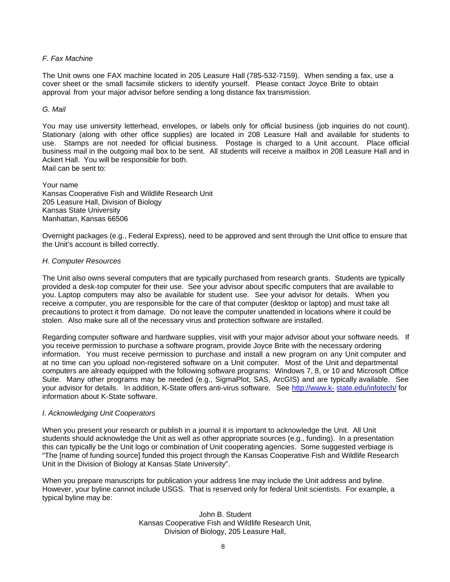# *F. Fax Machine*

The Unit owns one FAX machine located in 205 Leasure Hall (785-532-7159). When sending a fax, use a cover sheet or the small facsimile stickers to identify yourself. Please contact Joyce Brite to obtain approval from your major advisor before sending a long distance fax transmission.

## *G. Mail*

You may use university letterhead, envelopes, or labels only for official business (job inquiries do not count). Stationary (along with other office supplies) are located in 208 Leasure Hall and available for students to use. Stamps are not needed for official business. Postage is charged to a Unit account. Place official business mail in the outgoing mail box to be sent. All students will receive a mailbox in 208 Leasure Hall and in Ackert Hall. You will be responsible for both. Mail can be sent to:

Your name Kansas Cooperative Fish and Wildlife Research Unit 205 Leasure Hall, Division of Biology Kansas State University Manhattan, Kansas 66506

Overnight packages (e.g., Federal Express), need to be approved and sent through the Unit office to ensure that the Unit's account is billed correctly.

# *H. Computer Resources*

The Unit also owns several computers that are typically purchased from research grants. Students are typically provided a desk-top computer for their use. See your advisor about specific computers that are available to you. Laptop computers may also be available for student use. See your advisor for details. When you receive a computer, you are responsible for the care of that computer (desktop or laptop) and must take all precautions to protect it from damage. Do not leave the computer unattended in locations where it could be stolen. Also make sure all of the necessary virus and protection software are installed.

Regarding computer software and hardware supplies, visit with your major advisor about your software needs. If you receive permission to purchase a software program, provide Joyce Brite with the necessary ordering information. You must receive permission to purchase and install a new program on any Unit computer and at no time can you upload non-registered software on a Unit computer. Most of the Unit and departmental computers are already equipped with the following software programs: Windows 7, 8, or 10 and Microsoft Office Suite. Many other programs may be needed (e.g., SigmaPlot, SAS, ArcGIS) and are typically available. See your advisor for details. In addition, K-State offers anti-virus software. See http://www.k- state.edu/infotech/ for information about K-State software.

# *I. Acknowledging Unit Cooperators*

When you present your research or publish in a journal it is important to acknowledge the Unit. All Unit students should acknowledge the Unit as well as other appropriate sources (e.g., funding). In a presentation this can typically be the Unit logo or combination of Unit cooperating agencies. Some suggested verbiage is "The [name of funding source] funded this project through the Kansas Cooperative Fish and Wildlife Research Unit in the Division of Biology at Kansas State University".

When you prepare manuscripts for publication your address line may include the Unit address and byline. However, your byline cannot include USGS. That is reserved only for federal Unit scientists. For example, a typical byline may be:

> John B. Student Kansas Cooperative Fish and Wildlife Research Unit, Division of Biology, 205 Leasure Hall,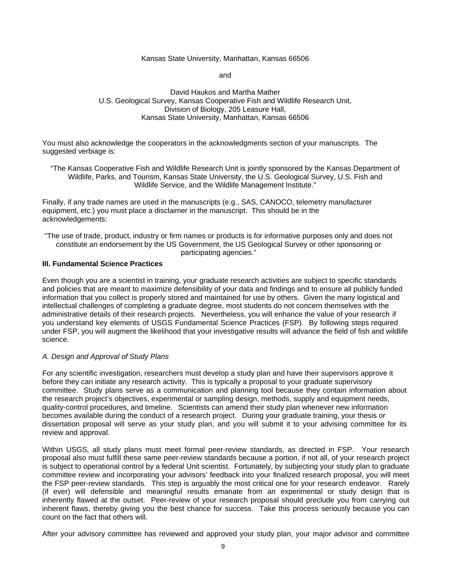## Kansas State University, Manhattan, Kansas 66506

and

# David Haukos and Martha Mather U.S. Geological Survey, Kansas Cooperative Fish and Wildlife Research Unit, Division of Biology, 205 Leasure Hall, Kansas State University, Manhattan, Kansas 66506

You must also acknowledge the cooperators in the acknowledgments section of your manuscripts. The suggested verbiage is:

"The Kansas Cooperative Fish and Wildlife Research Unit is jointly sponsored by the Kansas Department of Wildlife, Parks, and Tourism, Kansas State University, the U.S. Geological Survey, U.S. Fish and Wildlife Service, and the Wildlife Management Institute."

Finally, if any trade names are used in the manuscripts (e.g., SAS, CANOCO, telemetry manufacturer equipment, etc.) you must place a disclaimer in the manuscript. This should be in the acknowledgements:

"The use of trade, product, industry or firm names or products is for informative purposes only and does not constitute an endorsement by the US Government, the US Geological Survey or other sponsoring or participating agencies."

#### **III. Fundamental Science Practices**

Even though you are a scientist in training, your graduate research activities are subject to specific standards and policies that are meant to maximize defensibility of your data and findings and to ensure all publicly funded information that you collect is properly stored and maintained for use by others. Given the many logistical and intellectual challenges of completing a graduate degree, most students do not concern themselves with the administrative details of their research projects. Nevertheless, you will enhance the value of your research if you understand key elements of USGS Fundamental Science Practices (FSP). By following steps required under FSP, you will augment the likelihood that your investigative results will advance the field of fish and wildlife science.

# *A. Design and Approval of Study Plans*

For any scientific investigation, researchers must develop a study plan and have their supervisors approve it before they can initiate any research activity. This is typically a proposal to your graduate supervisory committee. Study plans serve as a communication and planning tool because they contain information about the research project's objectives, experimental or sampling design, methods, supply and equipment needs, quality-control procedures, and timeline. Scientists can amend their study plan whenever new information becomes available during the conduct of a research project. During your graduate training, your thesis or dissertation proposal will serve as your study plan, and you will submit it to your advising committee for its review and approval.

Within USGS, all study plans must meet formal peer-review standards, as directed in FSP. Your research proposal also must fulfill these same peer-review standards because a portion, if not all, of your research project is subject to operational control by a federal Unit scientist. Fortunately, by subjecting your study plan to graduate committee review and incorporating your advisors' feedback into your finalized research proposal, you will meet the FSP peer-review standards. This step is arguably the most critical one for your research endeavor. Rarely (if ever) will defensible and meaningful results emanate from an experimental or study design that is inherently flawed at the outset. Peer-review of your research proposal should preclude you from carrying out inherent flaws, thereby giving you the best chance for success. Take this process seriously because you can count on the fact that others will.

After your advisory committee has reviewed and approved your study plan, your major advisor and committee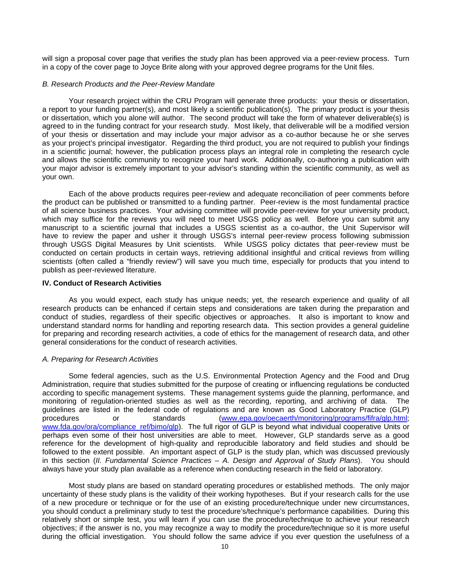will sign a proposal cover page that verifies the study plan has been approved via a peer-review process. Turn in a copy of the cover page to Joyce Brite along with your approved degree programs for the Unit files.

#### *B. Research Products and the Peer-Review Mandate*

Your research project within the CRU Program will generate three products: your thesis or dissertation, a report to your funding partner(s), and most likely a scientific publication(s). The primary product is your thesis or dissertation, which you alone will author. The second product will take the form of whatever deliverable(s) is agreed to in the funding contract for your research study. Most likely, that deliverable will be a modified version of your thesis or dissertation and may include your major advisor as a co-author because he or she serves as your project's principal investigator. Regarding the third product, you are not required to publish your findings in a scientific journal; however, the publication process plays an integral role in completing the research cycle and allows the scientific community to recognize your hard work. Additionally, co-authoring a publication with your major advisor is extremely important to your advisor's standing within the scientific community, as well as your own.

Each of the above products requires peer-review and adequate reconciliation of peer comments before the product can be published or transmitted to a funding partner. Peer-review is the most fundamental practice of all science business practices. Your advising committee will provide peer-review for your university product, which may suffice for the reviews you will need to meet USGS policy as well. Before you can submit any manuscript to a scientific journal that includes a USGS scientist as a co-author, the Unit Supervisor will have to review the paper and usher it through USGS's internal peer-review process following submission through USGS Digital Measures by Unit scientists. While USGS policy dictates that peer-review must be conducted on certain products in certain ways, retrieving additional insightful and critical reviews from willing scientists (often called a "friendly review") will save you much time, especially for products that you intend to publish as peer-reviewed literature.

#### **IV. Conduct of Research Activities**

As you would expect, each study has unique needs; yet, the research experience and quality of all research products can be enhanced if certain steps and considerations are taken during the preparation and conduct of studies, regardless of their specific objectives or approaches. It also is important to know and understand standard norms for handling and reporting research data. This section provides a general guideline for preparing and recording research activities, a code of ethics for the management of research data, and other general considerations for the conduct of research activities.

#### *A. Preparing for Research Activities*

Some federal agencies, such as the U.S. Environmental Protection Agency and the Food and Drug Administration, require that studies submitted for the purpose of creating or influencing regulations be conducted according to specific management systems. These management systems guide the planning, performance, and monitoring of regulation-oriented studies as well as the recording, reporting, and archiving of data. The guidelines are listed in the federal code of regulations and are known as Good Laboratory Practice (GLP)<br>procedures or standards (www.epa.gov/oecaerth/monitoring/programs/fifra/glp.html: procedures or standards [\(www.epa.gov/oecaerth/monitoring/programs/fifra/glp.html;](http://www.epa.gov/oecaerth/monitoring/programs/fifra/glp.html%3B)  [www.fda.gov/ora/compliance\\_ref/bimo/glp\). T](http://www.fda.gov/ora/compliance_ref/bimo/glp))he full rigor of GLP is beyond what individual cooperative Units or perhaps even some of their host universities are able to meet. However, GLP standards serve as a good reference for the development of high-quality and reproducible laboratory and field studies and should be followed to the extent possible. An important aspect of GLP is the study plan, which was discussed previously in this section (*II. Fundamental Science Practices – A. Design and Approval of Study Plans*). You should always have your study plan available as a reference when conducting research in the field or laboratory.

Most study plans are based on standard operating procedures or established methods. The only major uncertainty of these study plans is the validity of their working hypotheses. But if your research calls for the use of a new procedure or technique or for the use of an existing procedure/technique under new circumstances, you should conduct a preliminary study to test the procedure's/technique's performance capabilities. During this relatively short or simple test, you will learn if you can use the procedure/technique to achieve your research objectives; if the answer is no, you may recognize a way to modify the procedure/technique so it is more useful during the official investigation. You should follow the same advice if you ever question the usefulness of a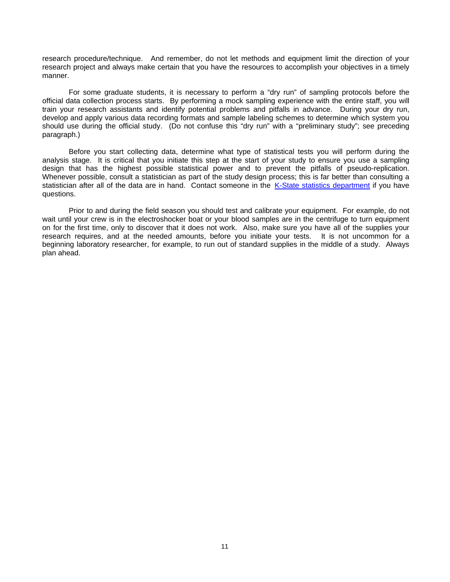research procedure/technique. And remember, do not let methods and equipment limit the direction of your research project and always make certain that you have the resources to accomplish your objectives in a timely manner.

For some graduate students, it is necessary to perform a "dry run" of sampling protocols before the official data collection process starts. By performing a mock sampling experience with the entire staff, you will train your research assistants and identify potential problems and pitfalls in advance. During your dry run, develop and apply various data recording formats and sample labeling schemes to determine which system you should use during the official study. (Do not confuse this "dry run" with a "preliminary study"; see preceding paragraph.)

Before you start collecting data, determine what type of statistical tests you will perform during the analysis stage. It is critical that you initiate this step at the start of your study to ensure you use a sampling design that has the highest possible statistical power and to prevent the pitfalls of pseudo-replication. Whenever possible, consult a statistician as part of the study design process; this is far better than consulting a statistician after all of the data are in hand. Contact someone in the K-State statistics department if you have questions.

Prior to and during the field season you should test and calibrate your equipment. For example, do not wait until your crew is in the electroshocker boat or your blood samples are in the centrifuge to turn equipment on for the first time, only to discover that it does not work. Also, make sure you have all of the supplies your research requires, and at the needed amounts, before you initiate your tests. It is not uncommon for a beginning laboratory researcher, for example, to run out of standard supplies in the middle of a study. Always plan ahead.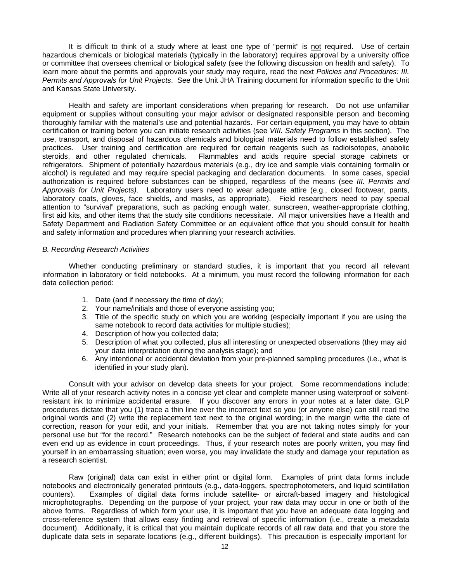It is difficult to think of a study where at least one type of "permit" is not required. Use of certain hazardous chemicals or biological materials (typically in the laboratory) requires approval by a university office or committee that oversees chemical or biological safety (see the following discussion on health and safety). To learn more about the permits and approvals your study may require, read the next *Policies and Procedures: III. Permits and Approvals for Unit Projects*. See the Unit JHA Training document for information specific to the Unit and Kansas State University.

Health and safety are important considerations when preparing for research. Do not use unfamiliar equipment or supplies without consulting your major advisor or designated responsible person and becoming thoroughly familiar with the material's use and potential hazards. For certain equipment, you may have to obtain certification or training before you can initiate research activities (see *VIII. Safety Programs* in this section). The use, transport, and disposal of hazardous chemicals and biological materials need to follow established safety practices. User training and certification are required for certain reagents such as radioisotopes, anabolic steroids, and other regulated chemicals. Flammables and acids require special storage cabinets or Flammables and acids require special storage cabinets or refrigerators. Shipment of potentially hazardous materials (e.g., dry ice and sample vials containing formalin or alcohol) is regulated and may require special packaging and declaration documents. In some cases, special authorization is required before substances can be shipped, regardless of the means (see *III. Permits and Approvals for Unit Projects)*. Laboratory users need to wear adequate attire (e.g., closed footwear, pants, laboratory coats, gloves, face shields, and masks, as appropriate). Field researchers need to pay special attention to "survival" preparations, such as packing enough water, sunscreen, weather-appropriate clothing, first aid kits, and other items that the study site conditions necessitate. All major universities have a Health and Safety Department and Radiation Safety Committee or an equivalent office that you should consult for health and safety information and procedures when planning your research activities.

#### *B. Recording Research Activities*

Whether conducting preliminary or standard studies, it is important that you record all relevant information in laboratory or field notebooks. At a minimum, you must record the following information for each data collection period:

- 1. Date (and if necessary the time of day);
- 2. Your name/initials and those of everyone assisting you;
- 3. Title of the specific study on which you are working (especially important if you are using the same notebook to record data activities for multiple studies);
- 4. Description of how you collected data;
- 5. Description of what you collected, plus all interesting or unexpected observations (they may aid your data interpretation during the analysis stage); and
- 6. Any intentional or accidental deviation from your pre-planned sampling procedures (i.e., what is identified in your study plan).

Consult with your advisor on develop data sheets for your project. Some recommendations include: Write all of your research activity notes in a concise yet clear and complete manner using waterproof or solventresistant ink to minimize accidental erasure. If you discover any errors in your notes at a later date, GLP procedures dictate that you (1) trace a thin line over the incorrect text so you (or anyone else) can still read the original words and (2) write the replacement text next to the original wording; in the margin write the date of correction, reason for your edit, and your initials. Remember that you are not taking notes simply for your personal use but "for the record." Research notebooks can be the subject of federal and state audits and can even end up as evidence in court proceedings. Thus, if your research notes are poorly written, you may find yourself in an embarrassing situation; even worse, you may invalidate the study and damage your reputation as a research scientist.

Raw (original) data can exist in either print or digital form. Examples of print data forms include notebooks and electronically generated printouts (e.g., data-loggers, spectrophotometers, and liquid scintillation counters). Examples of digital data forms include satellite- or aircraft-based imagery and histological microphotographs. Depending on the purpose of your project, your raw data may occur in one or both of the above forms. Regardless of which form your use, it is important that you have an adequate data logging and cross-reference system that allows easy finding and retrieval of specific information (i.e., create a metadata document). Additionally, it is critical that you maintain duplicate records of all raw data and that you store the duplicate data sets in separate locations (e.g., different buildings). This precaution is especially important for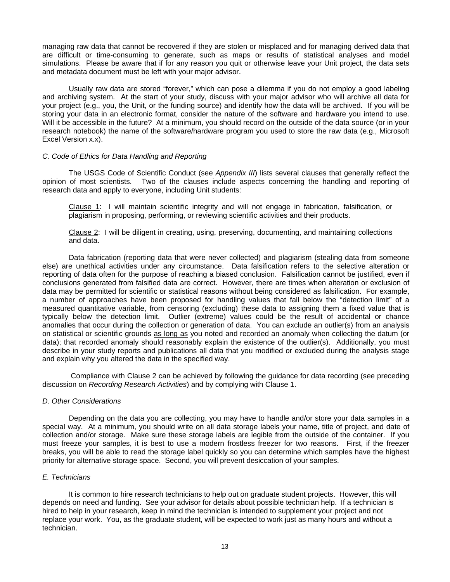managing raw data that cannot be recovered if they are stolen or misplaced and for managing derived data that are difficult or time-consuming to generate, such as maps or results of statistical analyses and model simulations. Please be aware that if for any reason you quit or otherwise leave your Unit project, the data sets and metadata document must be left with your major advisor.

Usually raw data are stored "forever," which can pose a dilemma if you do not employ a good labeling and archiving system. At the start of your study, discuss with your major advisor who will archive all data for your project (e.g., you, the Unit, or the funding source) and identify how the data will be archived. If you will be storing your data in an electronic format, consider the nature of the software and hardware you intend to use. Will it be accessible in the future? At a minimum, you should record on the outside of the data source (or in your research notebook) the name of the software/hardware program you used to store the raw data (e.g., Microsoft Excel Version x.x).

# *C. Code of Ethics for Data Handling and Reporting*

The USGS Code of Scientific Conduct (see *Appendix III*) lists several clauses that generally reflect the opinion of most scientists. Two of the clauses include aspects concerning the handling and reporting of research data and apply to everyone, including Unit students:

Clause 1: I will maintain scientific integrity and will not engage in fabrication, falsification, or plagiarism in proposing, performing, or reviewing scientific activities and their products.

Clause 2: I will be diligent in creating, using, preserving, documenting, and maintaining collections and data.

Data fabrication (reporting data that were never collected) and plagiarism (stealing data from someone else) are unethical activities under any circumstance. Data falsification refers to the selective alteration or reporting of data often for the purpose of reaching a biased conclusion. Falsification cannot be justified, even if conclusions generated from falsified data are correct. However, there are times when alteration or exclusion of data may be permitted for scientific or statistical reasons without being considered as falsification. For example, a number of approaches have been proposed for handling values that fall below the "detection limit" of a measured quantitative variable, from censoring (excluding) these data to assigning them a fixed value that is typically below the detection limit. Outlier (extreme) values could be the result of accidental or chance anomalies that occur during the collection or generation of data. You can exclude an outlier(s) from an analysis on statistical or scientific grounds as long as you noted and recorded an anomaly when collecting the datum (or data); that recorded anomaly should reasonably explain the existence of the outlier(s). Additionally, you must describe in your study reports and publications all data that you modified or excluded during the analysis stage and explain why you altered the data in the specified way.

Compliance with Clause 2 can be achieved by following the guidance for data recording (see preceding discussion on *Recording Research Activities*) and by complying with Clause 1.

#### *D. Other Considerations*

Depending on the data you are collecting, you may have to handle and/or store your data samples in a special way. At a minimum, you should write on all data storage labels your name, title of project, and date of collection and/or storage. Make sure these storage labels are legible from the outside of the container. If you must freeze your samples, it is best to use a modern frostless freezer for two reasons. First, if the freezer breaks, you will be able to read the storage label quickly so you can determine which samples have the highest priority for alternative storage space. Second, you will prevent desiccation of your samples.

#### *E. Technicians*

It is common to hire research technicians to help out on graduate student projects. However, this will depends on need and funding. See your advisor for details about possible technician help. If a technician is hired to help in your research, keep in mind the technician is intended to supplement your project and not replace your work. You, as the graduate student, will be expected to work just as many hours and without a technician.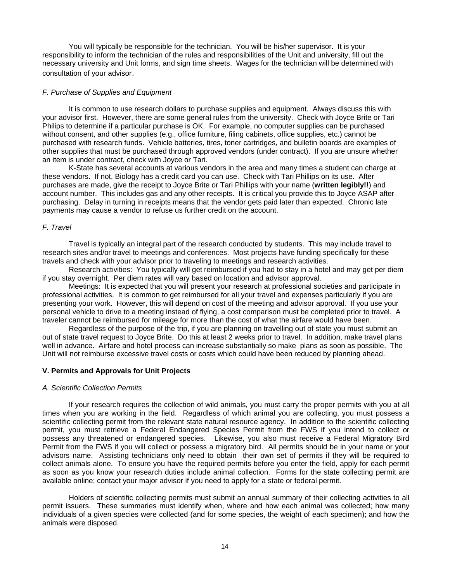You will typically be responsible for the technician. You will be his/her supervisor. It is your responsibility to inform the technician of the rules and responsibilities of the Unit and university, fill out the necessary university and Unit forms, and sign time sheets. Wages for the technician will be determined with consultation of your advisor.

## *F. Purchase of Supplies and Equipment*

It is common to use research dollars to purchase supplies and equipment. Always discuss this with your advisor first. However, there are some general rules from the university. Check with Joyce Brite or Tari Philips to determine if a particular purchase is OK. For example, no computer supplies can be purchased without consent, and other supplies (e.g., office furniture, filing cabinets, office supplies, etc.) cannot be purchased with research funds. Vehicle batteries, tires, toner cartridges, and bulletin boards are examples of other supplies that must be purchased through approved vendors (under contract). If you are unsure whether an item is under contract, check with Joyce or Tari.

K-State has several accounts at various vendors in the area and many times a student can charge at these vendors. If not, Biology has a credit card you can use. Check with Tari Phillips on its use. After purchases are made, give the receipt to Joyce Brite or Tari Phillips with your name (**written legibly!!**) and account number. This includes gas and any other receipts. It is critical you provide this to Joyce ASAP after purchasing. Delay in turning in receipts means that the vendor gets paid later than expected. Chronic late payments may cause a vendor to refuse us further credit on the account.

#### *F. Travel*

Travel is typically an integral part of the research conducted by students. This may include travel to research sites and/or travel to meetings and conferences. Most projects have funding specifically for these travels and check with your advisor prior to traveling to meetings and research activities.

Research activities: You typically will get reimbursed if you had to stay in a hotel and may get per diem if you stay overnight. Per diem rates will vary based on location and advisor approval.

Meetings: It is expected that you will present your research at professional societies and participate in professional activities. It is common to get reimbursed for all your travel and expenses particularly if you are presenting your work. However, this will depend on cost of the meeting and advisor approval. If you use your personal vehicle to drive to a meeting instead of flying, a cost comparison must be completed prior to travel. A traveler cannot be reimbursed for mileage for more than the cost of what the airfare would have been.

Regardless of the purpose of the trip, if you are planning on travelling out of state you must submit an out of state travel request to Joyce Brite. Do this at least 2 weeks prior to travel. In addition, make travel plans well in advance. Airfare and hotel process can increase substantially so make plans as soon as possible. The Unit will not reimburse excessive travel costs or costs which could have been reduced by planning ahead.

# **V. Permits and Approvals for Unit Projects**

#### *A. Scientific Collection Permits*

If your research requires the collection of wild animals, you must carry the proper permits with you at all times when you are working in the field. Regardless of which animal you are collecting, you must possess a scientific collecting permit from the relevant state natural resource agency. In addition to the scientific collecting permit, you must retrieve a Federal Endangered Species Permit from the FWS if you intend to collect or possess any threatened or endangered species. Likewise, you also must receive a Federal Migratory Bird Permit from the FWS if you will collect or possess a migratory bird. All permits should be in your name or your advisors name. Assisting technicians only need to obtain their own set of permits if they will be required to collect animals alone. To ensure you have the required permits before you enter the field, apply for each permit as soon as you know your research duties include animal collection. Forms for the state collecting permit are available online; contact your major advisor if you need to apply for a state or federal permit.

Holders of scientific collecting permits must submit an annual summary of their collecting activities to all permit issuers. These summaries must identify when, where and how each animal was collected; how many individuals of a given species were collected (and for some species, the weight of each specimen); and how the animals were disposed.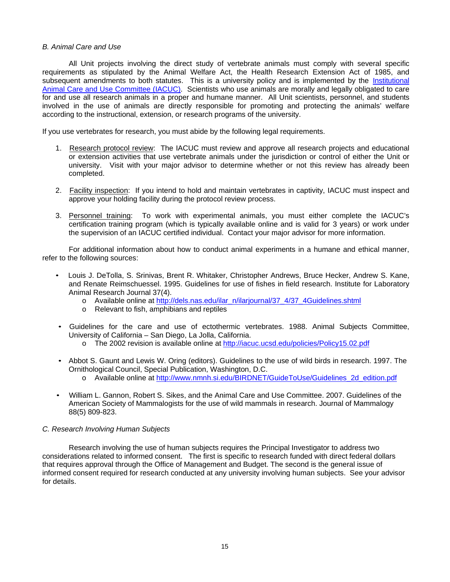# *B. Animal Care and Use*

All Unit projects involving the direct study of vertebrate animals must comply with several specific requirements as stipulated by the Animal Welfare Act, the Health Research Extension Act of 1985, and subsequent amendments to both statutes. This is a university policy and is implemented by the *Institutional* Animal Care and Use Committee (IACUC). Scientists who use animals are morally and legally obligated to care for and use all research animals in a proper and humane manner. All Unit scientists, personnel, and students involved in the use of animals are directly responsible for promoting and protecting the animals' welfare according to the instructional, extension, or research programs of the university.

If you use vertebrates for research, you must abide by the following legal requirements.

- 1. Research protocol review: The IACUC must review and approve all research projects and educational or extension activities that use vertebrate animals under the jurisdiction or control of either the Unit or university. Visit with your major advisor to determine whether or not this review has already been completed.
- 2. Facility inspection: If you intend to hold and maintain vertebrates in captivity, IACUC must inspect and approve your holding facility during the protocol review process.
- 3. Personnel training: To work with experimental animals, you must either complete the IACUC's certification training program (which is typically available online and is valid for 3 years) or work under the supervision of an IACUC certified individual. Contact your major advisor for more information.

For additional information about how to conduct animal experiments in a humane and ethical manner, refer to the following sources:

- Louis J. DeTolla, S. Srinivas, Brent R. Whitaker, Christopher Andrews, Bruce Hecker, Andrew S. Kane, and Renate Reimschuessel. 1995. Guidelines for use of fishes in field research. Institute for Laboratory Animal Research Journal 37(4).
	- o Available online at [http://dels.nas.edu/ilar\\_n/ilarjournal/37\\_4/37\\_4Guidelines.shtml](http://dels.nas.edu/ilar_n/ilarjournal/37_4/37_4Guidelines.shtml)
	- o Relevant to fish, amphibians and reptiles
- Guidelines for the care and use of ectothermic vertebrates. 1988. Animal Subjects Committee, University of California – San Diego, La Jolla, California.
	- o The 2002 revision is available online at<http://iacuc.ucsd.edu/policies/Policy15.02.pdf>
- Abbot S. Gaunt and Lewis W. Oring (editors). Guidelines to the use of wild birds in research. 1997. The Ornithological Council, Special Publication, Washington, D.C.
	- o Available online at [http://www.nmnh.si.edu/BIRDNET/GuideToUse/Guidelines\\_2d\\_edition.pdf](http://www.nmnh.si.edu/BIRDNET/GuideToUse/Guidelines_2d_edition.pdf)
- William L. Gannon, Robert S. Sikes, and the Animal Care and Use Committee. 2007. Guidelines of the American Society of Mammalogists for the use of wild mammals in research. Journal of Mammalogy 88(5) 809-823.

# *C. Research Involving Human Subjects*

Research involving the use of human subjects requires the Principal Investigator to address two considerations related to informed consent. The first is specific to research funded with direct federal dollars that requires approval through the Office of Management and Budget. The second is the general issue of informed consent required for research conducted at any university involving human subjects. See your advisor for details.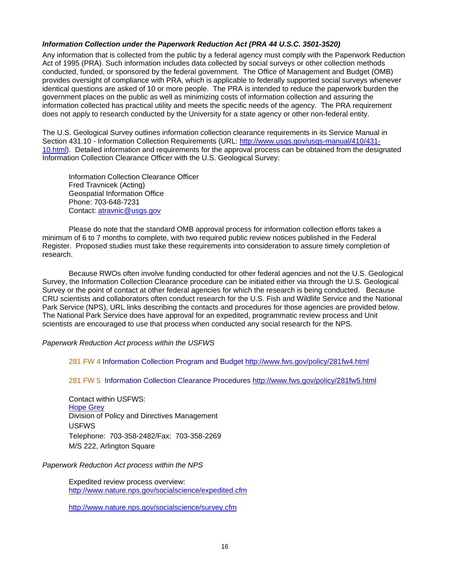# *Information Collection under the Paperwork Reduction Act (PRA 44 U.S.C. 3501-3520)*

Any information that is collected from the public by a federal agency must comply with the Paperwork Reduction Act of 1995 (PRA). Such information includes data collected by social surveys or other collection methods conducted, funded, or sponsored by the federal government. The Office of Management and Budget (OMB) provides oversight of compliance with PRA, which is applicable to federally supported social surveys whenever identical questions are asked of 10 or more people. The PRA is intended to reduce the paperwork burden the government places on the public as well as minimizing costs of information collection and assuring the information collected has practical utility and meets the specific needs of the agency. The PRA requirement does not apply to research conducted by the University for a state agency or other non-federal entity.

The U.S. Geological Survey outlines information collection clearance requirements in its Service Manual in Section 431.10 - Information Collection Requirements (URL:<http://www.usgs.gov/usgs-manual/410/431-> 10.html). Detailed information and requirements for the approval process can be obtained from the designated Information Collection Clearance Officer with the U.S. Geological Survey:

Information Collection Clearance Officer Fred Travnicek (Acting) Geospatial Information Office Phone: 703-648-7231 Contact: [atravnic@usgs.gov](mailto:atravnic@usgs.gov)

Please do note that the standard OMB approval process for information collection efforts takes a minimum of 6 to 7 months to complete, with two required public review notices published in the Federal Register. Proposed studies must take these requirements into consideration to assure timely completion of research.

Because RWOs often involve funding conducted for other federal agencies and not the U.S. Geological Survey, the Information Collection Clearance procedure can be initiated either via through the U.S. Geological Survey or the point of contact at other federal agencies for which the research is being conducted. Because CRU scientists and collaborators often conduct research for the U.S. Fish and Wildlife Service and the National Park Service (NPS), URL links describing the contacts and procedures for those agencies are provided below. The National Park Service does have approval for an expedited, programmatic review process and Unit scientists are encouraged to use that process when conducted any social research for the NPS.

# *Paperwork Reduction Act process within the USFWS*

281 FW 4 Information Collection Program and Budget<http://www.fws.gov/policy/281fw4.html>

281 FW 5 Information Collection Clearance Procedures<http://www.fws.gov/policy/281fw5.html>

Contact within USFWS: Hope Grey Division of Policy and Directives Management USFWS Telephone: 703-358-2482/Fax: 703-358-2269 M/S 222, Arlington Square

# *Paperwork Reduction Act process within the NPS*

Expedited review process overview: <http://www.nature.nps.gov/socialscience/expedited.cfm>

<http://www.nature.nps.gov/socialscience/survey.cfm>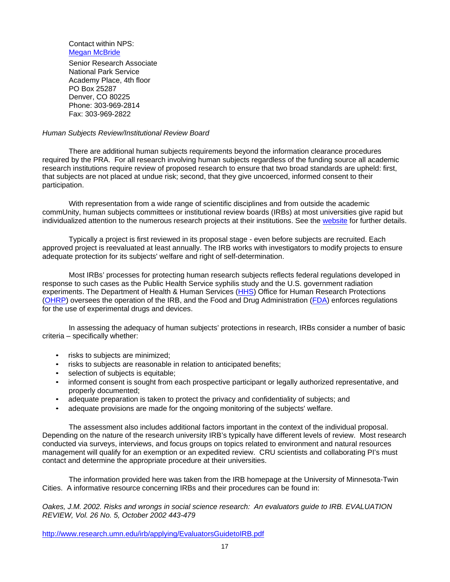Contact within NPS: Megan McBride

Senior Research Associate National Park Service Academy Place, 4th floor PO Box 25287 Denver, CO 80225 Phone: 303-969-2814 Fax: 303-969-2822

## *Human Subjects Review/Institutional Review Board*

There are additional human subjects requirements beyond the information clearance procedures required by the PRA. For all research involving human subjects regardless of the funding source all academic research institutions require review of proposed research to ensure that two broad standards are upheld: first, that subjects are not placed at undue risk; second, that they give uncoerced, informed consent to their participation.

With representation from a wide range of scientific disciplines and from outside the academic commUnity, human subjects committees or institutional review boards (IRBs) at most universities give rapid but individualized attention to the numerous research projects at their institutions. See the website for further details.

Typically a project is first reviewed in its proposal stage - even before subjects are recruited. Each approved project is reevaluated at least annually. The IRB works with investigators to modify projects to ensure adequate protection for its subjects' welfare and right of self-determination.

Most IRBs' processes for protecting human research subjects reflects federal regulations developed in response to such cases as the Public Health Service syphilis study and the U.S. government radiation experiments. The Department of Health & Human Services (HHS) Office for Human Research Protections (OHRP) oversees the operation of the IRB, and the Food and Drug Administration (FDA) enforces regulations for the use of experimental drugs and devices.

In assessing the adequacy of human subjects' protections in research, IRBs consider a number of basic criteria – specifically whether:

- risks to subjects are minimized;
- risks to subjects are reasonable in relation to anticipated benefits;
- selection of subjects is equitable;
- informed consent is sought from each prospective participant or legally authorized representative, and properly documented;
- adequate preparation is taken to protect the privacy and confidentiality of subjects; and
- adequate provisions are made for the ongoing monitoring of the subjects' welfare.

The assessment also includes additional factors important in the context of the individual proposal. Depending on the nature of the research university IRB's typically have different levels of review. Most research conducted via surveys, interviews, and focus groups on topics related to environment and natural resources management will qualify for an exemption or an expedited review. CRU scientists and collaborating PI's must contact and determine the appropriate procedure at their universities.

The information provided here was taken from the IRB homepage at the University of Minnesota-Twin Cities. A informative resource concerning IRBs and their procedures can be found in:

*Oakes, J.M. 2002. Risks and wrongs in social science research: An evaluators guide to IRB. EVALUATION REVIEW, Vol. 26 No. 5, October 2002 443-479*

<http://www.research.umn.edu/irb/applying/EvaluatorsGuidetoIRB.pdf>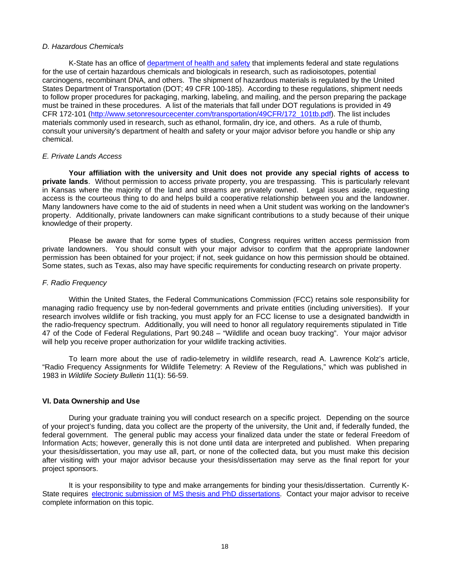# *D. Hazardous Chemicals*

K-State has an office of department of health and safety that implements federal and state regulations for the use of certain hazardous chemicals and biologicals in research, such as radioisotopes, potential carcinogens, recombinant DNA, and others. The shipment of hazardous materials is regulated by the United States Department of Transportation (DOT; 49 CFR 100-185). According to these regulations, shipment needs to follow proper procedures for packaging, marking, labeling, and mailing, and the person preparing the package must be trained in these procedures. A list of the materials that fall under DOT regulations is provided in 49 CFR 172-101 [\(http://www.setonresourcecenter.com/transportation/49CFR/172\\_101tb.pdf\)](http://www.setonresourcecenter.com/transportation/49CFR/172_101tb.pdf)). The list includes materials commonly used in research, such as ethanol, formalin, dry ice, and others. As a rule of thumb, consult your university's department of health and safety or your major advisor before you handle or ship any chemical.

#### *E. Private Lands Access*

**Your affiliation with the university and Unit does not provide any special rights of access to private lands**. Without permission to access private property, you are trespassing. This is particularly relevant in Kansas where the majority of the land and streams are privately owned. Legal issues aside, requesting access is the courteous thing to do and helps build a cooperative relationship between you and the landowner. Many landowners have come to the aid of students in need when a Unit student was working on the landowner's property. Additionally, private landowners can make significant contributions to a study because of their unique knowledge of their property.

Please be aware that for some types of studies, Congress requires written access permission from private landowners. You should consult with your major advisor to confirm that the appropriate landowner permission has been obtained for your project; if not, seek guidance on how this permission should be obtained. Some states, such as Texas, also may have specific requirements for conducting research on private property.

#### *F. Radio Frequency*

Within the United States, the Federal Communications Commission (FCC) retains sole responsibility for managing radio frequency use by non-federal governments and private entities (including universities). If your research involves wildlife or fish tracking, you must apply for an FCC license to use a designated bandwidth in the radio-frequency spectrum. Additionally, you will need to honor all regulatory requirements stipulated in Title 47 of the Code of Federal Regulations, Part 90.248 – "Wildlife and ocean buoy tracking". Your major advisor will help you receive proper authorization for your wildlife tracking activities.

To learn more about the use of radio-telemetry in wildlife research, read A. Lawrence Kolz's article, "Radio Frequency Assignments for Wildlife Telemetry: A Review of the Regulations," which was published in 1983 in *Wildlife Society Bulletin* 11(1): 56-59.

# **VI. Data Ownership and Use**

During your graduate training you will conduct research on a specific project. Depending on the source of your project's funding, data you collect are the property of the university, the Unit and, if federally funded, the federal government. The general public may access your finalized data under the state or federal Freedom of Information Acts; however, generally this is not done until data are interpreted and published. When preparing your thesis/dissertation, you may use all, part, or none of the collected data, but you must make this decision after visiting with your major advisor because your thesis/dissertation may serve as the final report for your project sponsors.

It is your responsibility to type and make arrangements for binding your thesis/dissertation. Currently K-State requires electronic submission of MS thesis and PhD dissertations. Contact your major advisor to receive complete information on this topic.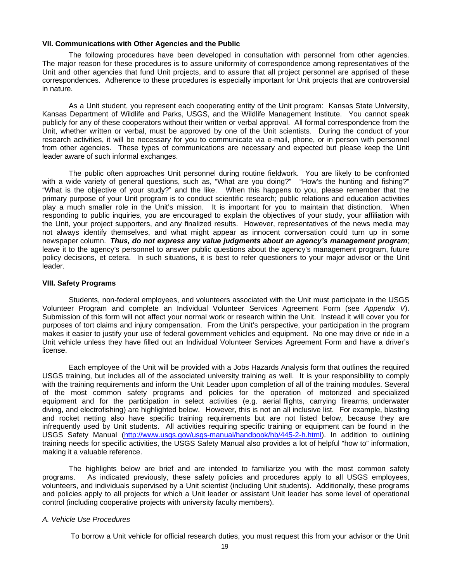#### **VII. Communications with Other Agencies and the Public**

The following procedures have been developed in consultation with personnel from other agencies. The major reason for these procedures is to assure uniformity of correspondence among representatives of the Unit and other agencies that fund Unit projects, and to assure that all project personnel are apprised of these correspondences. Adherence to these procedures is especially important for Unit projects that are controversial in nature.

As a Unit student, you represent each cooperating entity of the Unit program: Kansas State University, Kansas Department of Wildlife and Parks, USGS, and the Wildlife Management Institute. You cannot speak publicly for any of these cooperators without their written or verbal approval. All formal correspondence from the Unit, whether written or verbal, must be approved by one of the Unit scientists. During the conduct of your research activities, it will be necessary for you to communicate via e-mail, phone, or in person with personnel from other agencies. These types of communications are necessary and expected but please keep the Unit leader aware of such informal exchanges.

The public often approaches Unit personnel during routine fieldwork. You are likely to be confronted with a wide variety of general questions, such as, "What are you doing?" "How's the hunting and fishing?" "What is the objective of your study?" and the like. When this happens to you, please remember that the primary purpose of your Unit program is to conduct scientific research; public relations and education activities play a much smaller role in the Unit's mission. It is important for you to maintain that distinction. When responding to public inquiries, you are encouraged to explain the objectives of your study, your affiliation with the Unit, your project supporters, and any finalized results. However, representatives of the news media may not always identify themselves, and what might appear as innocent conversation could turn up in some newspaper column. *Thus, do not express any value judgments about an agency's management program*; leave it to the agency's personnel to answer public questions about the agency's management program, future policy decisions, et cetera. In such situations, it is best to refer questioners to your major advisor or the Unit leader.

#### **VIII. Safety Programs**

Students, non-federal employees, and volunteers associated with the Unit must participate in the USGS Volunteer Program and complete an Individual Volunteer Services Agreement Form (see *Appendix V*). Submission of this form will not affect your normal work or research within the Unit. Instead it will cover you for purposes of tort claims and injury compensation. From the Unit's perspective, your participation in the program makes it easier to justify your use of federal government vehicles and equipment. No one may drive or ride in a Unit vehicle unless they have filled out an Individual Volunteer Services Agreement Form and have a driver's license.

Each employee of the Unit will be provided with a Jobs Hazards Analysis form that outlines the required USGS training, but includes all of the associated university training as well. It is your responsibility to comply with the training requirements and inform the Unit Leader upon completion of all of the training modules. Several of the most common safety programs and policies for the operation of motorized and specialized equipment and for the participation in select activities (e.g. aerial flights, carrying firearms, underwater diving, and electrofishing) are highlighted below. However, this is not an all inclusive list. For example, blasting and rocket netting also have specific training requirements but are not listed below, because they are infrequently used by Unit students. All activities requiring specific training or equipment can be found in the USGS Safety Manual [\(http://www.usgs.gov/usgs-manual/handbook/hb/445-2-h.html\).](http://www.usgs.gov/usgs-manual/handbook/hb/445-2-h.html)) In addition to outlining training needs for specific activities, the USGS Safety Manual also provides a lot of helpful "how to" information, making it a valuable reference.

The highlights below are brief and are intended to familiarize you with the most common safety programs. As indicated previously, these safety policies and procedures apply to all USGS employees, volunteers, and individuals supervised by a Unit scientist (including Unit students). Additionally, these programs and policies apply to all projects for which a Unit leader or assistant Unit leader has some level of operational control (including cooperative projects with university faculty members).

## *A. Vehicle Use Procedures*

To borrow a Unit vehicle for official research duties, you must request this from your advisor or the Unit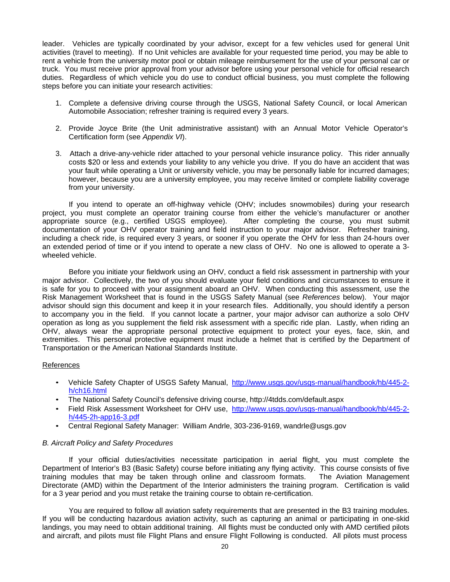leader. Vehicles are typically coordinated by your advisor, except for a few vehicles used for general Unit activities (travel to meeting). If no Unit vehicles are available for your requested time period, you may be able to rent a vehicle from the university motor pool or obtain mileage reimbursement for the use of your personal car or truck. You must receive prior approval from your advisor before using your personal vehicle for official research duties. Regardless of which vehicle you do use to conduct official business, you must complete the following steps before you can initiate your research activities:

- 1. Complete a defensive driving course through the USGS, National Safety Council, or local American Automobile Association; refresher training is required every 3 years.
- 2. Provide Joyce Brite (the Unit administrative assistant) with an Annual Motor Vehicle Operator's Certification form (see *Appendix VI*).
- 3. Attach a drive-any-vehicle rider attached to your personal vehicle insurance policy. This rider annually costs \$20 or less and extends your liability to any vehicle you drive. If you do have an accident that was your fault while operating a Unit or university vehicle, you may be personally liable for incurred damages; however, because you are a university employee, you may receive limited or complete liability coverage from your university.

If you intend to operate an off-highway vehicle (OHV; includes snowmobiles) during your research project, you must complete an operator training course from either the vehicle's manufacturer or another appropriate source (e.g., certified USGS employee). After completing the course, you must submit documentation of your OHV operator training and field instruction to your major advisor. Refresher training, including a check ride, is required every 3 years, or sooner if you operate the OHV for less than 24-hours over an extended period of time or if you intend to operate a new class of OHV. No one is allowed to operate a 3 wheeled vehicle.

Before you initiate your fieldwork using an OHV, conduct a field risk assessment in partnership with your major advisor. Collectively, the two of you should evaluate your field conditions and circumstances to ensure it is safe for you to proceed with your assignment aboard an OHV. When conducting this assessment, use the Risk Management Worksheet that is found in the USGS Safety Manual (see *References* below). Your major advisor should sign this document and keep it in your research files. Additionally, you should identify a person to accompany you in the field. If you cannot locate a partner, your major advisor can authorize a solo OHV operation as long as you supplement the field risk assessment with a specific ride plan. Lastly, when riding an OHV, always wear the appropriate personal protective equipment to protect your eyes, face, skin, and extremities. This personal protective equipment must include a helmet that is certified by the Department of Transportation or the American National Standards Institute.

# References

- Vehicle Safety Chapter of USGS Safety Manual, [http://www.usgs.gov/usgs-manual/handbook/hb/445-2](http://www.usgs.gov/usgs-manual/handbook/hb/445-2-) h/ch16.html
- The National Safety Council's defensive driving course, <http://4tdds.com/default.aspx>
- Field Risk Assessment Worksheet for OHV use, [http://www.usgs.gov/usgs-manual/handbook/hb/445-2](http://www.usgs.gov/usgs-manual/handbook/hb/445-2-) h/445-2h-app16-3.pdf
- Central Regional Safety Manager: William Andrle, 303-236-9169, [wandrle@usgs.gov](mailto:wandrle@usgs.gov)

# *B. Aircraft Policy and Safety Procedures*

If your official duties/activities necessitate participation in aerial flight, you must complete the Department of Interior's B3 (Basic Safety) course before initiating any flying activity. This course consists of five training modules that may be taken through online and classroom formats. The Aviation Management Directorate (AMD) within the Department of the Interior administers the training program. Certification is valid for a 3 year period and you must retake the training course to obtain re-certification.

You are required to follow all aviation safety requirements that are presented in the B3 training modules. If you will be conducting hazardous aviation activity, such as capturing an animal or participating in one-skid landings, you may need to obtain additional training. All flights must be conducted only with AMD certified pilots and aircraft, and pilots must file Flight Plans and ensure Flight Following is conducted. All pilots must process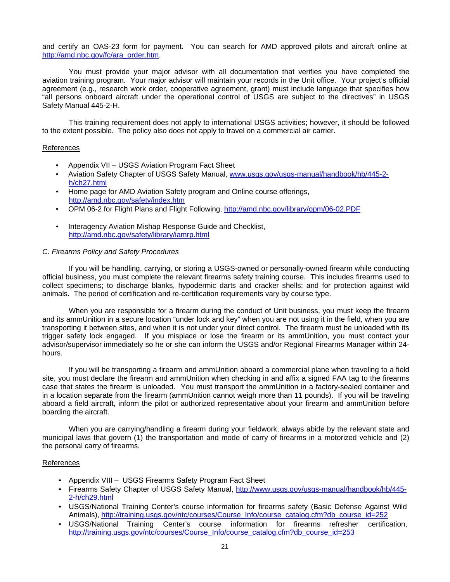and certify an OAS-23 form for payment. You can search for AMD approved pilots and aircraft online at [http://amd.nbc.gov/fc/ara\\_order.htm.](http://amd.nbc.gov/fc/ara_order.htm)

You must provide your major advisor with all documentation that verifies you have completed the aviation training program. Your major advisor will maintain your records in the Unit office. Your project's official agreement (e.g., research work order, cooperative agreement, grant) must include language that specifies how "all persons onboard aircraft under the operational control of USGS are subject to the directives" in USGS Safety Manual 445-2-H.

This training requirement does not apply to international USGS activities; however, it should be followed to the extent possible. The policy also does not apply to travel on a commercial air carrier.

#### References

- Appendix VII USGS Aviation Program Fact Sheet
- Aviation Safety Chapter of USGS Safety Manual, [www.usgs.gov/usgs-manual/handbook/hb/445-2](http://www.usgs.gov/usgs-manual/handbook/hb/445-2-) h/ch27.html
- Home page for AMD Aviation Safety program and Online course offerings, <http://amd.nbc.gov/safety/index.htm>
- OPM 06-2 for Flight Plans and Flight Following,<http://amd.nbc.gov/library/opm/06-02.PDF>
- Interagency Aviation Mishap Response Guide and Checklist, <http://amd.nbc.gov/safety/library/iamrp.html>

#### *C. Firearms Policy and Safety Procedures*

If you will be handling, carrying, or storing a USGS-owned or personally-owned firearm while conducting official business, you must complete the relevant firearms safety training course. This includes firearms used to collect specimens; to discharge blanks, hypodermic darts and cracker shells; and for protection against wild animals. The period of certification and re-certification requirements vary by course type.

When you are responsible for a firearm during the conduct of Unit business, you must keep the firearm and its ammUnition in a secure location "under lock and key" when you are not using it in the field, when you are transporting it between sites, and when it is not under your direct control. The firearm must be unloaded with its trigger safety lock engaged. If you misplace or lose the firearm or its ammUnition, you must contact your advisor/supervisor immediately so he or she can inform the USGS and/or Regional Firearms Manager within 24 hours.

If you will be transporting a firearm and ammUnition aboard a commercial plane when traveling to a field site, you must declare the firearm and ammUnition when checking in and affix a signed FAA tag to the firearms case that states the firearm is unloaded. You must transport the ammUnition in a factory-sealed container and in a location separate from the firearm (ammUnition cannot weigh more than 11 pounds). If you will be traveling aboard a field aircraft, inform the pilot or authorized representative about your firearm and ammUnition before boarding the aircraft.

When you are carrying/handling a firearm during your fieldwork, always abide by the relevant state and municipal laws that govern (1) the transportation and mode of carry of firearms in a motorized vehicle and (2) the personal carry of firearms.

#### References

- Appendix VIII USGS Firearms Safety Program Fact Sheet
- Firearms Safety Chapter of USGS Safety Manual,<http://www.usgs.gov/usgs-manual/handbook/hb/445-> 2-h/ch29.html
- USGS/National Training Center's course information for firearms safety (Basic Defense Against Wild Animals), [http://training.usgs.gov/ntc/courses/Course\\_Info/course\\_catalog.cfm?db\\_course\\_id=252](http://training.usgs.gov/ntc/courses/Course_Info/course_catalog.cfm?db_course_id=252)
- USGS/National Training Center's course information for firearms refresher certification, [http://training.usgs.gov/ntc/courses/Course\\_Info/course\\_catalog.cfm?db\\_course\\_id=253](http://training.usgs.gov/ntc/courses/Course_Info/course_catalog.cfm?db_course_id=253)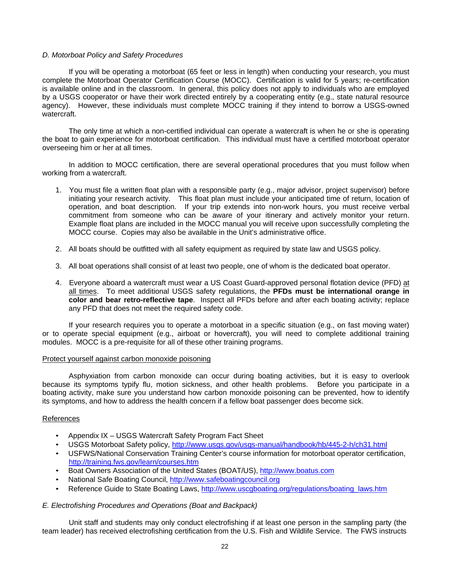## *D. Motorboat Policy and Safety Procedures*

If you will be operating a motorboat (65 feet or less in length) when conducting your research, you must complete the Motorboat Operator Certification Course (MOCC). Certification is valid for 5 years; re-certification is available online and in the classroom. In general, this policy does not apply to individuals who are employed by a USGS cooperator or have their work directed entirely by a cooperating entity (e.g., state natural resource agency). However, these individuals must complete MOCC training if they intend to borrow a USGS-owned watercraft.

The only time at which a non-certified individual can operate a watercraft is when he or she is operating the boat to gain experience for motorboat certification. This individual must have a certified motorboat operator overseeing him or her at all times.

In addition to MOCC certification, there are several operational procedures that you must follow when working from a watercraft.

- 1. You must file a written float plan with a responsible party (e.g., major advisor, project supervisor) before initiating your research activity. This float plan must include your anticipated time of return, location of operation, and boat description. If your trip extends into non-work hours, you must receive verbal commitment from someone who can be aware of your itinerary and actively monitor your return. Example float plans are included in the MOCC manual you will receive upon successfully completing the MOCC course. Copies may also be available in the Unit's administrative office.
- 2. All boats should be outfitted with all safety equipment as required by state law and USGS policy.
- 3. All boat operations shall consist of at least two people, one of whom is the dedicated boat operator.
- 4. Everyone aboard a watercraft must wear a US Coast Guard-approved personal flotation device (PFD) at all times. To meet additional USGS safety regulations, the **PFDs must be international orange in color and bear retro-reflective tape**. Inspect all PFDs before and after each boating activity; replace any PFD that does not meet the required safety code.

If your research requires you to operate a motorboat in a specific situation (e.g., on fast moving water) or to operate special equipment (e.g., airboat or hovercraft), you will need to complete additional training modules. MOCC is a pre-requisite for all of these other training programs.

#### Protect yourself against carbon monoxide poisoning

Asphyxiation from carbon monoxide can occur during boating activities, but it is easy to overlook because its symptoms typify flu, motion sickness, and other health problems. Before you participate in a boating activity, make sure you understand how carbon monoxide poisoning can be prevented, how to identify its symptoms, and how to address the health concern if a fellow boat passenger does become sick.

#### References

- Appendix IX USGS Watercraft Safety Program Fact Sheet
- USGS Motorboat Safety policy,<http://www.usgs.gov/usgs-manual/handbook/hb/445-2-h/ch31.html>
- USFWS/National Conservation Training Center's course information for motorboat operator certification, <http://training.fws.gov/learn/courses.htm>
- Boat Owners Association of the United States (BOAT/US), [http://www.boatus.com](http://www.boatus.com/)
- National Safe Boating Council, [http://www.safeboatingcouncil.org](http://www.safeboatingcouncil.org/)
- Reference Guide to State Boating Laws, [http://www.uscgboating.org/regulations/boating\\_laws.htm](http://www.uscgboating.org/regulations/boating_laws.htm)

# *E. Electrofishing Procedures and Operations (Boat and Backpack)*

Unit staff and students may only conduct electrofishing if at least one person in the sampling party (the team leader) has received electrofishing certification from the U.S. Fish and Wildlife Service. The FWS instructs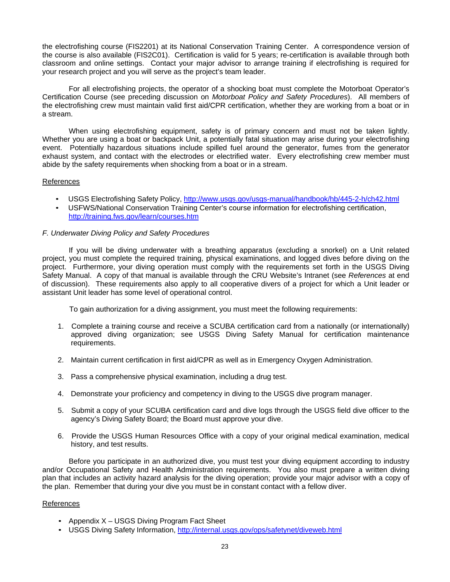the electrofishing course (FIS2201) at its National Conservation Training Center. A correspondence version of the course is also available (FIS2C01). Certification is valid for 5 years; re-certification is available through both classroom and online settings. Contact your major advisor to arrange training if electrofishing is required for your research project and you will serve as the project's team leader.

For all electrofishing projects, the operator of a shocking boat must complete the Motorboat Operator's Certification Course (see preceding discussion on *Motorboat Policy and Safety Procedures*). All members of the electrofishing crew must maintain valid first aid/CPR certification, whether they are working from a boat or in a stream.

When using electrofishing equipment, safety is of primary concern and must not be taken lightly. Whether you are using a boat or backpack Unit, a potentially fatal situation may arise during your electrofishing event. Potentially hazardous situations include spilled fuel around the generator, fumes from the generator exhaust system, and contact with the electrodes or electrified water. Every electrofishing crew member must abide by the safety requirements when shocking from a boat or in a stream.

# References

- USGS Electrofishing Safety Policy,<http://www.usgs.gov/usgs-manual/handbook/hb/445-2-h/ch42.html>
- USFWS/National Conservation Training Center's course information for electrofishing certification, <http://training.fws.gov/learn/courses.htm>

# *F. Underwater Diving Policy and Safety Procedures*

If you will be diving underwater with a breathing apparatus (excluding a snorkel) on a Unit related project, you must complete the required training, physical examinations, and logged dives before diving on the project. Furthermore, your diving operation must comply with the requirements set forth in the USGS Diving Safety Manual. A copy of that manual is available through the CRU Website's Intranet (see *References* at end of discussion). These requirements also apply to all cooperative divers of a project for which a Unit leader or assistant Unit leader has some level of operational control.

To gain authorization for a diving assignment, you must meet the following requirements:

- 1. Complete a training course and receive a SCUBA certification card from a nationally (or internationally) approved diving organization; see USGS Diving Safety Manual for certification maintenance requirements.
- 2. Maintain current certification in first aid/CPR as well as in Emergency Oxygen Administration.
- 3. Pass a comprehensive physical examination, including a drug test.
- 4. Demonstrate your proficiency and competency in diving to the USGS dive program manager.
- 5. Submit a copy of your SCUBA certification card and dive logs through the USGS field dive officer to the agency's Diving Safety Board; the Board must approve your dive.
- 6. Provide the USGS Human Resources Office with a copy of your original medical examination, medical history, and test results.

Before you participate in an authorized dive, you must test your diving equipment according to industry and/or Occupational Safety and Health Administration requirements. You also must prepare a written diving plan that includes an activity hazard analysis for the diving operation; provide your major advisor with a copy of the plan. Remember that during your dive you must be in constant contact with a fellow diver.

# References

- Appendix X USGS Diving Program Fact Sheet
- USGS Diving Safety Information,<http://internal.usgs.gov/ops/safetynet/diveweb.html>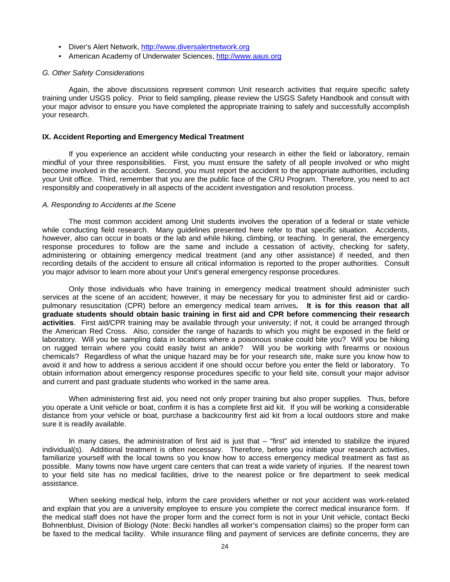- Diver's Alert Network, [http://www.diversalertnetwork.org](http://www.diversalertnetwork.org/)
- American Academy of Underwater Sciences, [http://www.aaus.org](http://www.aaus.org/)

#### *G. Other Safety Considerations*

Again, the above discussions represent common Unit research activities that require specific safety training under USGS policy. Prior to field sampling, please review the USGS Safety Handbook and consult with your major advisor to ensure you have completed the appropriate training to safely and successfully accomplish your research.

#### **IX. Accident Reporting and Emergency Medical Treatment**

If you experience an accident while conducting your research in either the field or laboratory, remain mindful of your three responsibilities. First, you must ensure the safety of all people involved or who might become involved in the accident. Second, you must report the accident to the appropriate authorities, including your Unit office. Third, remember that you are the public face of the CRU Program. Therefore, you need to act responsibly and cooperatively in all aspects of the accident investigation and resolution process.

#### *A. Responding to Accidents at the Scene*

The most common accident among Unit students involves the operation of a federal or state vehicle while conducting field research. Many guidelines presented here refer to that specific situation. Accidents, however, also can occur in boats or the lab and while hiking, climbing, or teaching. In general, the emergency response procedures to follow are the same and include a cessation of activity, checking for safety, administering or obtaining emergency medical treatment (and any other assistance) if needed, and then recording details of the accident to ensure all critical information is reported to the proper authorities. Consult you major advisor to learn more about your Unit's general emergency response procedures.

Only those individuals who have training in emergency medical treatment should administer such services at the scene of an accident; however, it may be necessary for you to administer first aid or cardiopulmonary resuscitation (CPR) before an emergency medical team arrives**. It is for this reason that all graduate students should obtain basic training in first aid and CPR before commencing their research activities**. First aid/CPR training may be available through your university; if not, it could be arranged through the American Red Cross. Also, consider the range of hazards to which you might be exposed in the field or laboratory. Will you be sampling data in locations where a poisonous snake could bite you? Will you be hiking on rugged terrain where you could easily twist an ankle? Will you be working with firearms or noxious chemicals? Regardless of what the unique hazard may be for your research site, make sure you know how to avoid it and how to address a serious accident if one should occur before you enter the field or laboratory. To obtain information about emergency response procedures specific to your field site, consult your major advisor and current and past graduate students who worked in the same area.

When administering first aid, you need not only proper training but also proper supplies. Thus, before you operate a Unit vehicle or boat, confirm it is has a complete first aid kit. If you will be working a considerable distance from your vehicle or boat, purchase a backcountry first aid kit from a local outdoors store and make sure it is readily available.

In many cases, the administration of first aid is just that – "first" aid intended to stabilize the injured individual(s). Additional treatment is often necessary. Therefore, before you initiate your research activities, familiarize yourself with the local towns so you know how to access emergency medical treatment as fast as possible. Many towns now have urgent care centers that can treat a wide variety of injuries. If the nearest town to your field site has no medical facilities, drive to the nearest police or fire department to seek medical assistance.

When seeking medical help, inform the care providers whether or not your accident was work-related and explain that you are a university employee to ensure you complete the correct medical insurance form. If the medical staff does not have the proper form and the correct form is not in your Unit vehicle, contact Becki Bohnenblust, Division of Biology (Note: Becki handles all worker's compensation claims) so the proper form can be faxed to the medical facility. While insurance filing and payment of services are definite concerns, they are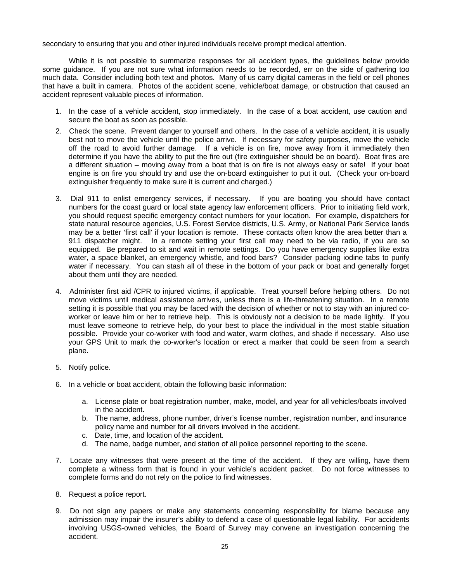secondary to ensuring that you and other injured individuals receive prompt medical attention.

While it is not possible to summarize responses for all accident types, the guidelines below provide some guidance. If you are not sure what information needs to be recorded, err on the side of gathering too much data. Consider including both text and photos. Many of us carry digital cameras in the field or cell phones that have a built in camera. Photos of the accident scene, vehicle/boat damage, or obstruction that caused an accident represent valuable pieces of information.

- 1. In the case of a vehicle accident, stop immediately. In the case of a boat accident, use caution and secure the boat as soon as possible.
- 2. Check the scene. Prevent danger to yourself and others. In the case of a vehicle accident, it is usually best not to move the vehicle until the police arrive. If necessary for safety purposes, move the vehicle off the road to avoid further damage. If a vehicle is on fire, move away from it immediately then determine if you have the ability to put the fire out (fire extinguisher should be on board). Boat fires are a different situation – moving away from a boat that is on fire is not always easy or safe! If your boat engine is on fire you should try and use the on-board extinguisher to put it out. (Check your on-board extinguisher frequently to make sure it is current and charged.)
- 3. Dial 911 to enlist emergency services, if necessary. If you are boating you should have contact numbers for the coast guard or local state agency law enforcement officers. Prior to initiating field work, you should request specific emergency contact numbers for your location. For example, dispatchers for state natural resource agencies, U.S. Forest Service districts, U.S. Army, or National Park Service lands may be a better 'first call' if your location is remote. These contacts often know the area better than a 911 dispatcher might. In a remote setting your first call may need to be via radio, if you are so equipped. Be prepared to sit and wait in remote settings. Do you have emergency supplies like extra water, a space blanket, an emergency whistle, and food bars? Consider packing iodine tabs to purify water if necessary. You can stash all of these in the bottom of your pack or boat and generally forget about them until they are needed.
- 4. Administer first aid /CPR to injured victims, if applicable. Treat yourself before helping others. Do not move victims until medical assistance arrives, unless there is a life-threatening situation. In a remote setting it is possible that you may be faced with the decision of whether or not to stay with an injured coworker or leave him or her to retrieve help. This is obviously not a decision to be made lightly. If you must leave someone to retrieve help, do your best to place the individual in the most stable situation possible. Provide your co-worker with food and water, warm clothes, and shade if necessary. Also use your GPS Unit to mark the co-worker's location or erect a marker that could be seen from a search plane.
- 5. Notify police.
- 6. In a vehicle or boat accident, obtain the following basic information:
	- a. License plate or boat registration number, make, model, and year for all vehicles/boats involved in the accident.
	- b. The name, address, phone number, driver's license number, registration number, and insurance policy name and number for all drivers involved in the accident.
	- c. Date, time, and location of the accident.
	- d. The name, badge number, and station of all police personnel reporting to the scene.
- 7. Locate any witnesses that were present at the time of the accident. If they are willing, have them complete a witness form that is found in your vehicle's accident packet. Do not force witnesses to complete forms and do not rely on the police to find witnesses.
- 8. Request a police report.
- 9. Do not sign any papers or make any statements concerning responsibility for blame because any admission may impair the insurer's ability to defend a case of questionable legal liability. For accidents involving USGS-owned vehicles, the Board of Survey may convene an investigation concerning the accident.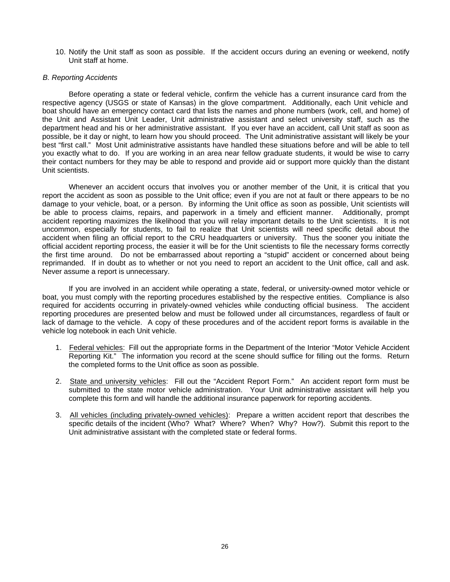10. Notify the Unit staff as soon as possible. If the accident occurs during an evening or weekend, notify Unit staff at home.

#### *B. Reporting Accidents*

Before operating a state or federal vehicle, confirm the vehicle has a current insurance card from the respective agency (USGS or state of Kansas) in the glove compartment. Additionally, each Unit vehicle and boat should have an emergency contact card that lists the names and phone numbers (work, cell, and home) of the Unit and Assistant Unit Leader, Unit administrative assistant and select university staff, such as the department head and his or her administrative assistant. If you ever have an accident, call Unit staff as soon as possible, be it day or night, to learn how you should proceed. The Unit administrative assistant will likely be your best "first call." Most Unit administrative assistants have handled these situations before and will be able to tell you exactly what to do. If you are working in an area near fellow graduate students, it would be wise to carry their contact numbers for they may be able to respond and provide aid or support more quickly than the distant Unit scientists.

Whenever an accident occurs that involves you or another member of the Unit, it is critical that you report the accident as soon as possible to the Unit office; even if you are not at fault or there appears to be no damage to your vehicle, boat, or a person. By informing the Unit office as soon as possible, Unit scientists will be able to process claims, repairs, and paperwork in a timely and efficient manner. Additionally, prompt accident reporting maximizes the likelihood that you will relay important details to the Unit scientists. It is not uncommon, especially for students, to fail to realize that Unit scientists will need specific detail about the accident when filing an official report to the CRU headquarters or university. Thus the sooner you initiate the official accident reporting process, the easier it will be for the Unit scientists to file the necessary forms correctly the first time around. Do not be embarrassed about reporting a "stupid" accident or concerned about being reprimanded. If in doubt as to whether or not you need to report an accident to the Unit office, call and ask. Never assume a report is unnecessary.

If you are involved in an accident while operating a state, federal, or university-owned motor vehicle or boat, you must comply with the reporting procedures established by the respective entities. Compliance is also required for accidents occurring in privately-owned vehicles while conducting official business. The accident reporting procedures are presented below and must be followed under all circumstances, regardless of fault or lack of damage to the vehicle. A copy of these procedures and of the accident report forms is available in the vehicle log notebook in each Unit vehicle.

- 1. Federal vehicles: Fill out the appropriate forms in the Department of the Interior "Motor Vehicle Accident Reporting Kit." The information you record at the scene should suffice for filling out the forms. Return the completed forms to the Unit office as soon as possible.
- 2. State and university vehicles: Fill out the "Accident Report Form." An accident report form must be submitted to the state motor vehicle administration. Your Unit administrative assistant will help you complete this form and will handle the additional insurance paperwork for reporting accidents.
- 3. All vehicles (including privately-owned vehicles): Prepare a written accident report that describes the specific details of the incident (Who? What? Where? When? Why? How?). Submit this report to the Unit administrative assistant with the completed state or federal forms.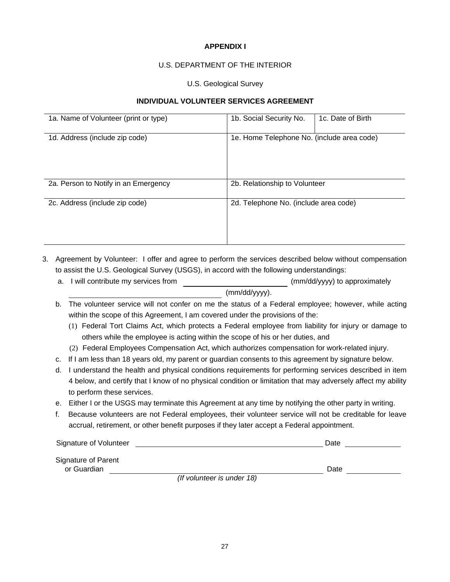# **APPENDIX I**

# U.S. DEPARTMENT OF THE INTERIOR

# U.S. Geological Survey

# **INDIVIDUAL VOLUNTEER SERVICES AGREEMENT**

| 1a. Name of Volunteer (print or type) | 1b. Social Security No.                    | 1c. Date of Birth |  |
|---------------------------------------|--------------------------------------------|-------------------|--|
| 1d. Address (include zip code)        | 1e. Home Telephone No. (include area code) |                   |  |
| 2a. Person to Notify in an Emergency  | 2b. Relationship to Volunteer              |                   |  |
| 2c. Address (include zip code)        | 2d. Telephone No. (include area code)      |                   |  |

- 3. Agreement by Volunteer: I offer and agree to perform the services described below without compensation to assist the U.S. Geological Survey (USGS), in accord with the following understandings:
	- a. I will contribute my services from  $(mm/dd/yyy)$  to approximately (mm/dd/yyyy).
	- b. The volunteer service will not confer on me the status of a Federal employee; however, while acting within the scope of this Agreement, I am covered under the provisions of the:
		- (1) Federal Tort Claims Act, which protects a Federal employee from liability for injury or damage to others while the employee is acting within the scope of his or her duties, and
		- (2) Federal Employees Compensation Act, which authorizes compensation for work-related injury.
	- c. If I am less than 18 years old, my parent or guardian consents to this agreement by signature below.
	- d. I understand the health and physical conditions requirements for performing services described in item 4 below, and certify that I know of no physical condition or limitation that may adversely affect my ability to perform these services.
	- e. Either I or the USGS may terminate this Agreement at any time by notifying the other party in writing.
	- f. Because volunteers are not Federal employees, their volunteer service will not be creditable for leave accrual, retirement, or other benefit purposes if they later accept a Federal appointment.

| Signature of Volunteer             |                            | Date |
|------------------------------------|----------------------------|------|
| Signature of Parent<br>or Guardian |                            | Date |
|                                    | (If volunteer is under 18) |      |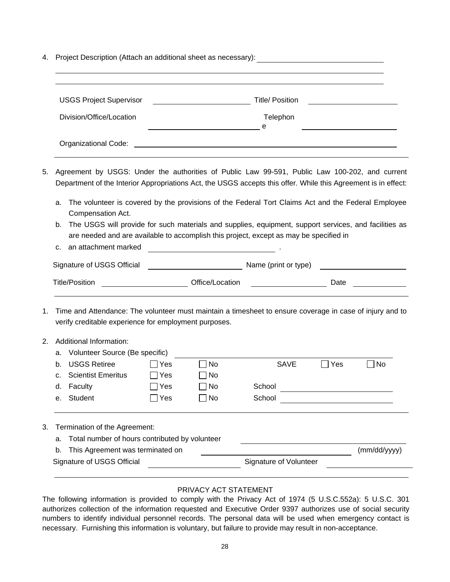4. Project Description (Attach an additional sheet as necessary):

| <b>USGS Project Supervisor</b> | <b>Title/Position</b> |
|--------------------------------|-----------------------|
| Division/Office/Location       | Telephon<br>e         |
| Organizational Code:           |                       |

- 5. Agreement by USGS: Under the authorities of Public Law 99-591, Public Law 100-202, and current Department of the Interior Appropriations Act, the USGS accepts this offer*.* While this Agreement is in effect:
	- a. The volunteer is covered by the provisions of the Federal Tort Claims Act and the Federal Employee Compensation Act.
	- b. The USGS will provide for such materials and supplies, equipment, support services, and facilities as are needed and are available to accomplish this project, except as may be specified in

| c. an attachment marked |  |
|-------------------------|--|
|                         |  |

| Signature of USGS Official |                 | Name (print or type) |      |  |
|----------------------------|-----------------|----------------------|------|--|
| Title/Position             | Office/Location |                      | Date |  |

1. Time and Attendance: The volunteer must maintain a timesheet to ensure coverage in case of injury and to verify creditable experience for employment purposes.

# 2. Additional Information:

|                                                      |                               | Signature of USGS Official       |              |           | Signature of Volunteer |                                 |             |
|------------------------------------------------------|-------------------------------|----------------------------------|--------------|-----------|------------------------|---------------------------------|-------------|
|                                                      | b.                            | This Agreement was terminated on |              |           |                        |                                 | (mm/dd/yyy) |
| Total number of hours contributed by volunteer<br>a. |                               |                                  |              |           |                        |                                 |             |
| 3.                                                   | Termination of the Agreement: |                                  |              |           |                        |                                 |             |
|                                                      |                               |                                  |              |           |                        |                                 |             |
|                                                      | $e_{-}$                       | Student                          | $\sqcap$ Yes | $\Box$ No | School                 |                                 |             |
|                                                      | d.                            | Faculty                          | Yes          | $\Box$ No | School                 |                                 |             |
|                                                      | $C_{\rm{eff}}$                | <b>Scientist Emeritus</b>        | $\sqcap$ Yes | $\Box$ No |                        |                                 |             |
|                                                      | b.                            | <b>USGS Retiree</b>              | $\sqcap$ Yes | $\Box$ No | <b>SAVE</b>            | Yes<br>$\overline{\phantom{a}}$ | l INo       |
|                                                      | a.                            | Volunteer Source (Be specific)   |              |           |                        |                                 |             |

# PRIVACY ACT STATEMENT

The following information is provided to comply with the Privacy Act of 1974 (5 U.S.C.552a): 5 U.S.C. 301 authorizes collection of the information requested and Executive Order 9397 authorizes use of social security numbers to identify individual personnel records. The personal data will be used when emergency contact is necessary. Furnishing this information is voluntary, but failure to provide may result in non-acceptance.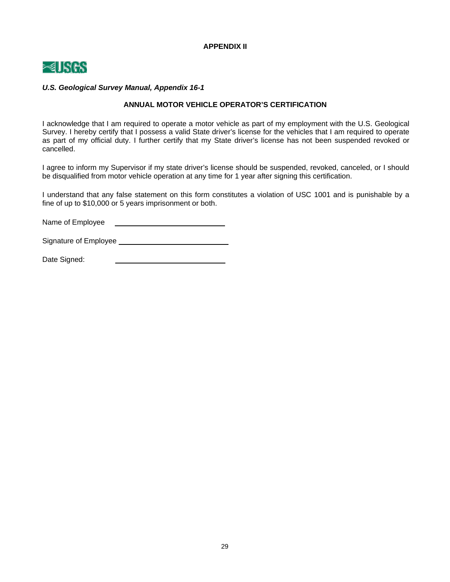**APPENDIX II**



# *U.S. Geological Survey Manual, Appendix 16-1*

# **ANNUAL MOTOR VEHICLE OPERATOR'S CERTIFICATION**

I acknowledge that I am required to operate a motor vehicle as part of my employment with the U.S. Geological Survey. I hereby certify that I possess a valid State driver's license for the vehicles that I am required to operate as part of my official duty. I further certify that my State driver's license has not been suspended revoked or cancelled.

I agree to inform my Supervisor if my state driver's license should be suspended, revoked, canceled, or I should be disqualified from motor vehicle operation at any time for 1 year after signing this certification.

I understand that any false statement on this form constitutes a violation of USC 1001 and is punishable by a fine of up to \$10,000 or 5 years imprisonment or both.

Name of Employee **Name of Employee** 

Signature of Employee

Date Signed: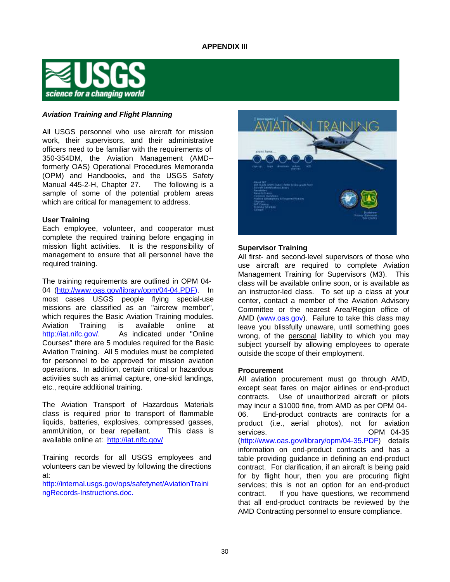

# *Aviation Training and Flight Planning*

All USGS personnel who use aircraft for mission work, their supervisors, and their administrative officers need to be familiar with the requirements of 350-354DM, the Aviation Management (AMD- formerly OAS) Operational Procedures Memoranda (OPM) and Handbooks, and the USGS Safety Manual 445-2-H, Chapter 27. The following is a sample of some of the potential problem areas which are critical for management to address.

#### **User Training**

Each employee, volunteer, and cooperator must complete the required training before engaging in mission flight activities. It is the responsibility of management to ensure that all personnel have the required training.

The training requirements are outlined in OPM 04- 04 [\(http://www.oas.gov/library/opm/04-04.PDF\). I](http://www.oas.gov/library/opm/04-04.PDF))n most cases USGS people flying special-use missions are classified as an "aircrew member", which requires the Basic Aviation Training modules. Aviation Training is available online at http://iat.nifc.gov/ As indicated under "Online" Courses" there are 5 modules required for the Basic Aviation Training. All 5 modules must be completed for personnel to be approved for mission aviation operations. In addition, certain critical or hazardous activities such as animal capture, one-skid landings, etc., require additional training.

The Aviation Transport of Hazardous Materials class is required prior to transport of flammable liquids, batteries, explosives, compressed gasses, ammUnition, or bear repellant. This class is available online at: <http://iat.nifc.gov/>

Training records for all USGS employees and volunteers can be viewed by following the directions at:

<http://internal.usgs.gov/ops/safetynet/AviationTraini> ngRecords-Instructions.doc.



#### **Supervisor Training**

All first- and second-level supervisors of those who use aircraft are required to complete Aviation Management Training for Supervisors (M3). This class will be available online soon, or is available as an instructor-led class. To set up a class at your center, contact a member of the Aviation Advisory Committee or the nearest Area/Region office of AMD (www.oas.gov). Failure to take this class may leave you blissfully unaware, until something goes wrong, of the personal liability to which you may subject yourself by allowing employees to operate outside the scope of their employment.

#### **Procurement**

All aviation procurement must go through AMD, except seat fares on major airlines or end-product contracts. Use of unauthorized aircraft or pilots may incur a \$1000 fine, from AMD as per OPM 04- 06. End-product contracts are contracts for a product (i.e., aerial photos), not for aviation services. **OPM** 04-35 [\(http://www.oas.gov/library/opm/04-35.PDF\) d](http://www.oas.gov/library/opm/04-35.PDF))etails information on end-product contracts and has a table providing guidance in defining an end-product contract. For clarification, if an aircraft is being paid for by flight hour, then you are procuring flight services; this is not an option for an end-product contract. If you have questions, we recommend that all end-product contracts be reviewed by the AMD Contracting personnel to ensure compliance.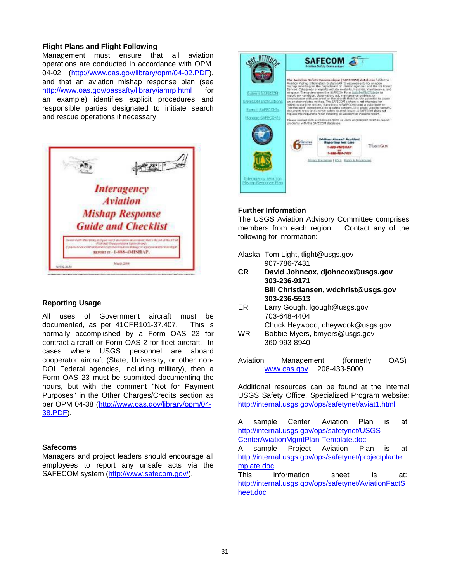# **Flight Plans and Flight Following**

Management must ensure that all aviation operations are conducted in accordance with OPM 04-02 [\(http://www.oas.gov/library/opm/04-02.PDF\),](http://www.oas.gov/library/opm/04-02.PDF)) and that an aviation mishap response plan (see [http://www.oas.gov/oassafty/library/iamrp.html f](http://www.oas.gov/oassafty/library/iamrp.html)or an example) identifies explicit procedures and responsible parties designated to initiate search and rescue operations if necessary.



# **Reporting Usage**

All uses of Government aircraft must be documented, as per 41CFR101-37.407. This is normally accomplished by a Form OAS 23 for contract aircraft or Form OAS 2 for fleet aircraft. In cases where USGS personnel are aboard cooperator aircraft (State, University, or other non-DOI Federal agencies, including military), then a Form OAS 23 must be submitted documenting the hours, but with the comment "Not for Payment Purposes" in the Other Charges/Credits section as per OPM 04-38 [\(http://www.oas.gov/library/opm/04-](http://www.oas.gov/library/opm/04-) 38.PDF).

# **Safecoms**

Managers and project leaders should encourage all employees to report any unsafe acts via the SAFECOM system [\(http://www.safecom.gov/\).](http://www.safecom.gov/))



# **Further Information**

The USGS Aviation Advisory Committee comprises members from each region. Contact any of the following for information:

- Alaska [Tom Light, tlight@usgs.gov](mailto:tlight@usgs.gov) 907-786-7431
- **CR Da[vid Johncox, djohncox@usgs.gov](mailto:djohncox@usgs.gov) 303-236-9171 Bill Christiansen, [wdchrist@usgs.gov](mailto:wdchrist@usgs.gov) 303-236-5513**
- ER Larry Gou[gh, lgough@usgs.gov](mailto:lgough@usgs.gov) 703-648-4404 Chuck Hey[wood, cheywook@usgs.gov](mailto:cheywook@usgs.gov)
- WR [Bobbie Myers, bmyers@usgs.gov](mailto:bmyers@usgs.gov) 360-993-8940
- Aviation Management (formerly OAS) [www.oas.gov](http://www.oas.gov/) 208-433-5000

Additional resources can be found at the internal USGS Safety Office, Specialized Program website: <http://internal.usgs.gov/ops/safetynet/aviat1.html>

A sample Center Aviation Plan is at <http://internal.usgs.gov/ops/safetynet/USGS->CenterAviationMgmtPlan-Template.doc

A sample Project Aviation Plan is at <http://internal.usgs.gov/ops/safetynet/projectplante> mplate.doc

This information sheet is at: <http://internal.usgs.gov/ops/safetynet/AviationFactS> heet.doc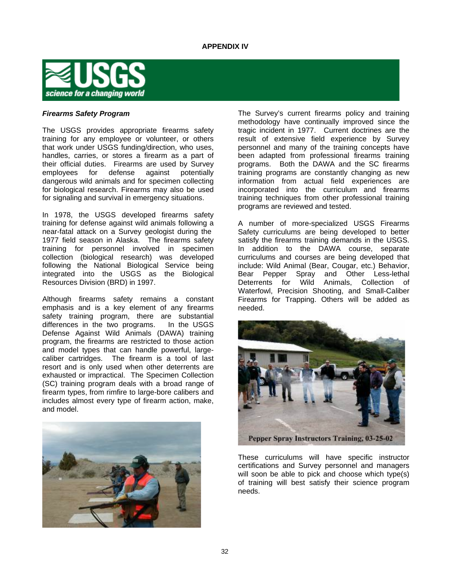

## *Firearms Safety Program*

The USGS provides appropriate firearms safety training for any employee or volunteer, or others that work under USGS funding/direction, who uses, handles, carries, or stores a firearm as a part of their official duties. Firearms are used by Survey employees for defense against potentially dangerous wild animals and for specimen collecting for biological research. Firearms may also be used for signaling and survival in emergency situations.

In 1978, the USGS developed firearms safety training for defense against wild animals following a near-fatal attack on a Survey geologist during the 1977 field season in Alaska. The firearms safety training for personnel involved in specimen collection (biological research) was developed following the National Biological Service being integrated into the USGS as the Biological Resources Division (BRD) in 1997.

Although firearms safety remains a constant emphasis and is a key element of any firearms safety training program, there are substantial differences in the two programs. In the USGS Defense Against Wild Animals (DAWA) training program, the firearms are restricted to those action and model types that can handle powerful, largecaliber cartridges. The firearm is a tool of last resort and is only used when other deterrents are exhausted or impractical. The Specimen Collection (SC) training program deals with a broad range of firearm types, from rimfire to large-bore calibers and includes almost every type of firearm action, make, and model.



The Survey's current firearms policy and training methodology have continually improved since the tragic incident in 1977. Current doctrines are the result of extensive field experience by Survey personnel and many of the training concepts have been adapted from professional firearms training programs. Both the DAWA and the SC firearms training programs are constantly changing as new information from actual field experiences are incorporated into the curriculum and firearms training techniques from other professional training programs are reviewed and tested.

A number of more-specialized USGS Firearms Safety curriculums are being developed to better satisfy the firearms training demands in the USGS. In addition to the DAWA course, separate curriculums and courses are being developed that include: Wild Animal (Bear, Cougar, etc.) Behavior, Bear Pepper Spray and Other Less-lethal Deterrents for Wild Animals, Collection of Waterfowl, Precision Shooting, and Small-Caliber Firearms for Trapping. Others will be added as needed.



These curriculums will have specific instructor certifications and Survey personnel and managers will soon be able to pick and choose which type(s) of training will best satisfy their science program needs.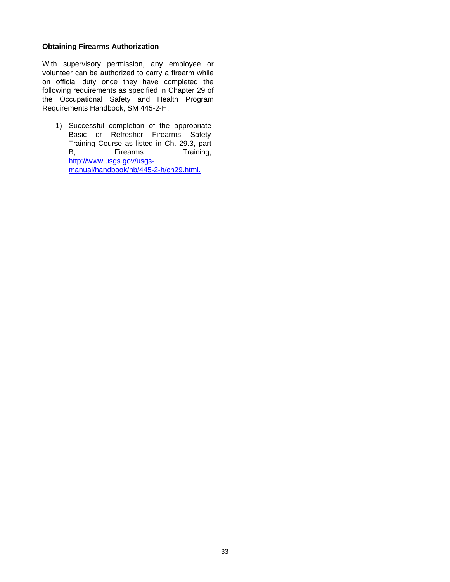# **Obtaining Firearms Authorization**

With supervisory permission, any employee or volunteer can be authorized to carry a firearm while on official duty once they have completed the following requirements as specified in Chapter 29 of the Occupational Safety and Health Program Requirements Handbook, SM 445-2-H:

1) Successful completion of the appropriate Basic or Refresher Firearms Safety Training Course as listed in Ch. 29.3, part B, Firearms Training, [http://www.usgs.gov/usgs](http://www.usgs.gov/usgs-)manual/handbook/hb/445-2-h/ch29.html.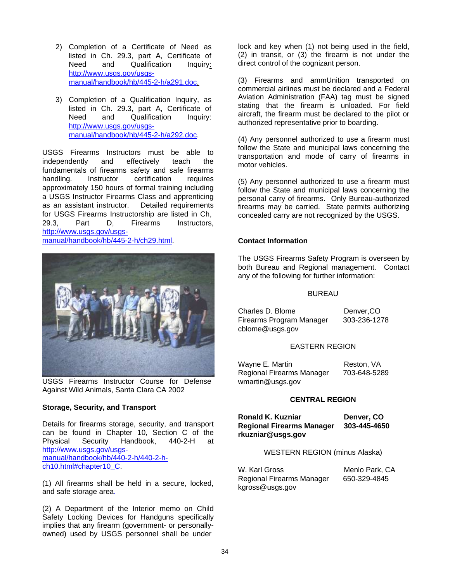- 2) Completion of a Certificate of Need as listed in Ch. 29.3, part A, Certificate of Need and Qualification Inquiry: [http://www.usgs.gov/usgs](http://www.usgs.gov/usgs-)manual/handbook/hb/445-2-h/a291.doc.
- 3) Completion of a Qualification Inquiry, as listed in Ch. 29.3, part A, Certificate of Need and Qualification Inquiry: [http://www.usgs.gov/usgs](http://www.usgs.gov/usgs-)manual/handbook/hb/445-2-h/a292.doc.

USGS Firearms Instructors must be able to independently and effectively teach the fundamentals of firearms safety and safe firearms handling. Instructor certification requires approximately 150 hours of formal training including a USGS Instructor Firearms Class and apprenticing as an assistant instructor. Detailed requirements for USGS Firearms Instructorship are listed in Ch, 29.3, Part D, Firearms Instructors, [http://www.usgs.gov/usgs](http://www.usgs.gov/usgs-)manual/handbook/hb/445-2-h/ch29.html.



USGS Firearms Instructor Course for Defense Against Wild Animals, Santa Clara CA 2002

# **Storage, Security, and Transport**

Details for firearms storage, security, and transport can be found in Chapter 10, Section C of the Physical Security Handbook, 440-2-H at [http://www.usgs.gov/usgs](http://www.usgs.gov/usgs-)manual/handbook/hb/440-2-h/440-2-hch10.html#chapter10\_C.

(1) All firearms shall be held in a secure, locked, and safe storage area.

(2) A Department of the Interior memo on Child Safety Locking Devices for Handguns specifically implies that any firearm (government- or personallyowned) used by USGS personnel shall be under

lock and key when (1) not being used in the field, (2) in transit, or (3) the firearm is not under the direct control of the cognizant person.

(3) Firearms and ammUnition transported on commercial airlines must be declared and a Federal Aviation Administration (FAA) tag must be signed stating that the firearm is unloaded. For field aircraft, the firearm must be declared to the pilot or authorized representative prior to boarding.

(4) Any personnel authorized to use a firearm must follow the State and municipal laws concerning the transportation and mode of carry of firearms in motor vehicles.

(5) Any personnel authorized to use a firearm must follow the State and municipal laws concerning the personal carry of firearms. Only Bureau-authorized firearms may be carried. State permits authorizing concealed carry are not recognized by the USGS.

# **Contact Information**

The USGS Firearms Safety Program is overseen by both Bureau and Regional management. Contact any of the following for further information:

#### BUREAU

Charles D. Blome **Denver, CO**<br>Firearms Program Manager 303-236-1278 Firearms Program Manager [cblome@usgs.gov](mailto:cblome@usgs.gov)

# EASTERN REGION

Wayne E. Martin Reston, VA Regional Firearms Manager 703-648-528[9](mailto:wmartin@usgs.gov) [wmartin@usgs.gov](mailto:wmartin@usgs.gov)

# **CENTRAL REGION**

**Ronald K. Kuzniar Denver, CO Regional Firearms Manager [rkuzniar@usgs.gov](mailto:rkuzniar@usgs.gov)**

## WESTERN REGION (minus Alaska)

W. Karl Gross Menlo Park, CA Regional Firearms Manager 650-329-484[5](mailto:kgross@usgs.gov) [kgross@usgs.gov](mailto:kgross@usgs.gov)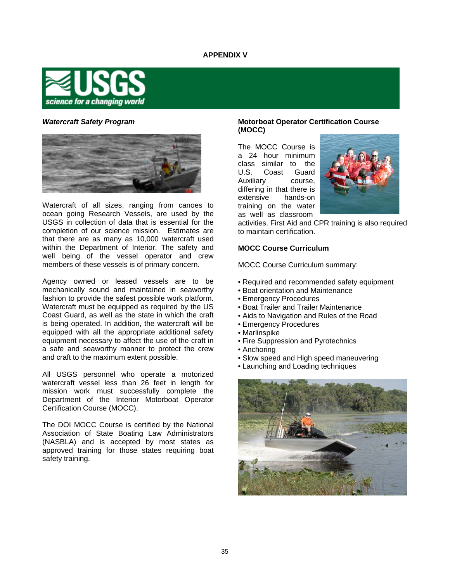# **APPENDIX V**



#### *Watercraft Safety Program*



Watercraft of all sizes, ranging from canoes to ocean going Research Vessels, are used by the USGS in collection of data that is essential for the completion of our science mission. Estimates are that there are as many as 10,000 watercraft used within the Department of Interior. The safety and well being of the vessel operator and crew members of these vessels is of primary concern.

Agency owned or leased vessels are to be mechanically sound and maintained in seaworthy fashion to provide the safest possible work platform. Watercraft must be equipped as required by the US Coast Guard, as well as the state in which the craft is being operated. In addition, the watercraft will be equipped with all the appropriate additional safety equipment necessary to affect the use of the craft in a safe and seaworthy manner to protect the crew and craft to the maximum extent possible.

All USGS personnel who operate a motorized watercraft vessel less than 26 feet in length for mission work must successfully complete the Department of the Interior Motorboat Operator Certification Course (MOCC).

The DOI MOCC Course is certified by the National Association of State Boating Law Administrators (NASBLA) and is accepted by most states as approved training for those states requiring boat safety training.

# **Motorboat Operator Certification Course (MOCC)**

The MOCC Course is a 24 hour minimum class similar to the<br>U.S. Coast Guard Coast Guard Auxiliary course, differing in that there is<br>extensive bands-on hands-on training on the water as well as classroom



activities. First Aid and CPR training is also required to maintain certification.

#### **MOCC Course Curriculum**

MOCC Course Curriculum summary:

- Required and recommended safety equipment
- Boat orientation and Maintenance
- Emergency Procedures
- Boat Trailer and Trailer Maintenance
- Aids to Navigation and Rules of the Road
- Emergency Procedures
- Marlinspike
- Fire Suppression and Pyrotechnics
- Anchoring
- Slow speed and High speed maneuvering
- Launching and Loading techniques

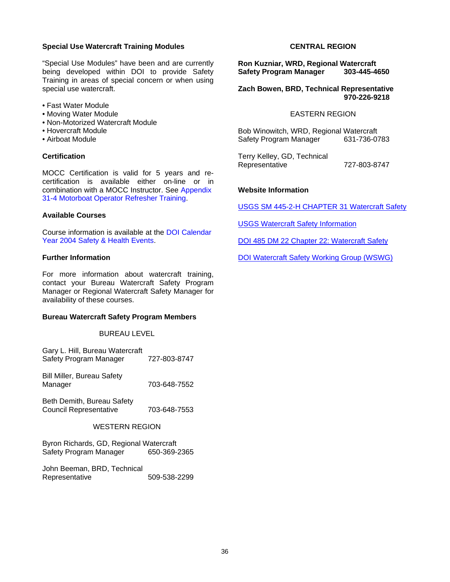## **Special Use Watercraft Training Modules**

"Special Use Modules" have been and are currently being developed within DOI to provide Safety Training in areas of special concern or when using special use watercraft.

- Fast Water Module
- Moving Water Module
- Non-Motorized Watercraft Module
- Hovercraft Module
- Airboat Module

# **Certification**

MOCC Certification is valid for 5 years and recertification is available either on-line or in combination with a MOCC Instructor. See Appendix 31-4 Motorboat Operator Refresher Training.

#### **Available Courses**

Course information is available at the DOI Calendar Year 2004 Safety & Health Events.

#### **Further Information**

For more information about watercraft training, contact your Bureau Watercraft Safety Program Manager or Regional Watercraft Safety Manager for availability of these courses.

#### **Bureau Watercraft Safety Program Members**

#### BUREAU LEVEL

Gary L. Hill, Bureau Watercraft Safety Program Manager 727-803-8747

Bill Miller, Bureau Safety Manager 703-648-7552

Beth Demith, Bureau Safety Council Representative 703-648-7553

## WESTERN REGION

Byron Richards, GD, Regional Watercraft Safety Program Manager 650-369-2365

| John Beeman, BRD, Technical |              |
|-----------------------------|--------------|
| Representative              | 509-538-2299 |

# **CENTRAL REGION**

**Ron Kuzniar, WRD, Regional Watercraft Safety Program Manager** 

**Zach Bowen, BRD, Technical Representative 970-226-9218**

# EASTERN REGION

Bob Winowitch, WRD, Regional Watercraft Safety Program Manager

Terry Kelley, GD, Technical Representative 727-803-8747

# **Website Information**

USGS SM 445-2-H CHAPTER 31 Watercraft Safety

USGS Watercraft Safety Information

DOI 485 DM 22 Chapter 22: Watercraft Safety

DOI Watercraft Safety Working Group (WSWG)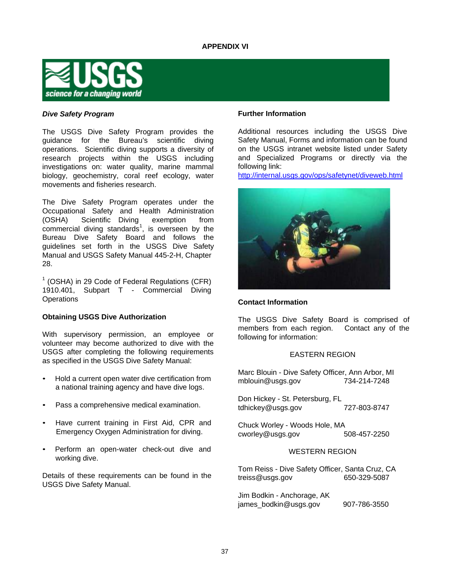

# *Dive Safety Program*

The USGS Dive Safety Program provides the guidance for the Bureau's scientific diving operations. Scientific diving supports a diversity of research projects within the USGS including investigations on: water quality, marine mammal biology, geochemistry, coral reef ecology, water movements and fisheries research.

The Dive Safety Program operates under the Occupational Safety and Health Administration (OSHA) Scientific Diving exemption from commercial diving standards<sup>1</sup>, is overseen by the Bureau Dive Safety Board and follows the guidelines set forth in the USGS Dive Safety Manual and USGS Safety Manual 445-2-H, Chapter 28.

 $<sup>1</sup>$  (OSHA) in 29 Code of Federal Regulations (CFR)</sup> 1910.401, Subpart T - Commercial Diving **Operations** 

# **Obtaining USGS Dive Authorization**

With supervisory permission, an employee or volunteer may become authorized to dive with the USGS after completing the following requirements as specified in the USGS Dive Safety Manual:

- Hold a current open water dive certification from a national training agency and have dive logs.
- Pass a comprehensive medical examination.
- Have current training in First Aid, CPR and Emergency Oxygen Administration for diving.
- Perform an open-water check-out dive and working dive.

Details of these requirements can be found in the USGS Dive Safety Manual.

# **Further Information**

Additional resources including the USGS Dive Safety Manual, Forms and information can be found on the USGS intranet website listed under Safety and Specialized Programs or directly via the following link:

<http://internal.usgs.gov/ops/safetynet/diveweb.html>



# **Contact Information**

The USGS Dive Safety Board is comprised of members from each region. Contact any of the following for information:

# EASTERN REGION

Marc Blouin - Dive Safety Officer, Ann Arbor, MI [mblouin@usgs.gov](mailto:mblouin@usgs.gov) 734-214-7248

Don Hickey - St. Petersburg, FL [tdhickey@usgs.gov](mailto:tdhickey@usgs.gov) 727-803-8747

Chuck Worley - Woods Hole, MA [cworley@usgs.gov](mailto:cworley@usgs.gov) 508-457-2250

# WESTERN REGION

Tom Reiss - Dive Safety Officer, Santa Cruz, CA [treiss@usgs.gov](mailto:treiss@usgs.gov) 650-329-5087

Jim Bodkin - Anchorage, AK [james\\_bodkin@usgs.gov](mailto:james_bodkin@usgs.gov) 907-786-3550